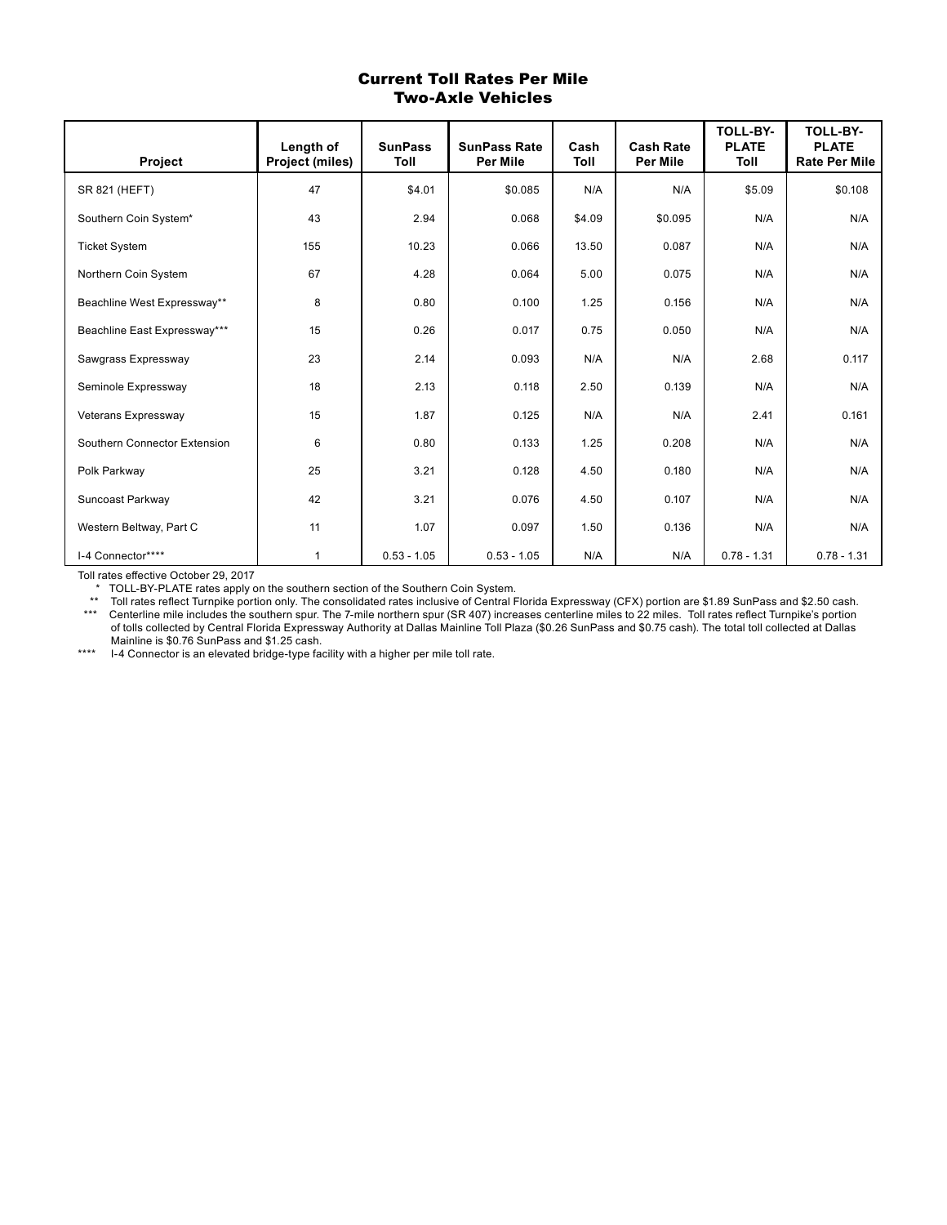#### Current Toll Rates Per Mile Two-Axle Vehicles

| Project                      | Length of<br>Project (miles) | <b>SunPass</b><br>Toll | <b>SunPass Rate</b><br><b>Per Mile</b> | Cash<br>Toll | <b>Cash Rate</b><br><b>Per Mile</b> | <b>TOLL-BY-</b><br><b>PLATE</b><br>Toll | <b>TOLL-BY-</b><br><b>PLATE</b><br><b>Rate Per Mile</b> |
|------------------------------|------------------------------|------------------------|----------------------------------------|--------------|-------------------------------------|-----------------------------------------|---------------------------------------------------------|
| SR 821 (HEFT)                | 47                           | \$4.01                 | \$0.085                                | N/A          | N/A                                 | \$5.09                                  | \$0.108                                                 |
| Southern Coin System*        | 43                           | 2.94                   | 0.068                                  | \$4.09       | \$0.095                             | N/A                                     | N/A                                                     |
| <b>Ticket System</b>         | 155                          | 10.23                  | 0.066                                  | 13.50        | 0.087                               | N/A                                     | N/A                                                     |
| Northern Coin System         | 67                           | 4.28                   | 0.064                                  | 5.00         | 0.075                               | N/A                                     | N/A                                                     |
| Beachline West Expressway**  | 8                            | 0.80                   | 0.100                                  | 1.25         | 0.156                               | N/A                                     | N/A                                                     |
| Beachline East Expressway*** | 15                           | 0.26                   | 0.017                                  | 0.75         | 0.050                               | N/A                                     | N/A                                                     |
| Sawgrass Expressway          | 23                           | 2.14                   | 0.093                                  | N/A          | N/A                                 | 2.68                                    | 0.117                                                   |
| Seminole Expressway          | 18                           | 2.13                   | 0.118                                  | 2.50         | 0.139                               | N/A                                     | N/A                                                     |
| Veterans Expressway          | 15                           | 1.87                   | 0.125                                  | N/A          | N/A                                 | 2.41                                    | 0.161                                                   |
| Southern Connector Extension | 6                            | 0.80                   | 0.133                                  | 1.25         | 0.208                               | N/A                                     | N/A                                                     |
| Polk Parkway                 | 25                           | 3.21                   | 0.128                                  | 4.50         | 0.180                               | N/A                                     | N/A                                                     |
| Suncoast Parkway             | 42                           | 3.21                   | 0.076                                  | 4.50         | 0.107                               | N/A                                     | N/A                                                     |
| Western Beltway, Part C      | 11                           | 1.07                   | 0.097                                  | 1.50         | 0.136                               | N/A                                     | N/A                                                     |
| I-4 Connector****            | 1                            | $0.53 - 1.05$          | $0.53 - 1.05$                          | N/A          | N/A                                 | $0.78 - 1.31$                           | $0.78 - 1.31$                                           |

Toll rates effective October 29, 2017

\* TOLL-BY-PLATE rates apply on the southern section of the Southern Coin System.

 \*\* Toll rates reflect Turnpike portion only. The consolidated rates inclusive of Central Florida Expressway (CFX) portion are \$1.89 SunPass and \$2.50 cash. \*\*\* Centerline mile includes the southern spur. The 7-mile northern spur (SR 407) increases centerline miles to 22 miles. Toll rates reflect Turnpike's portion of tolls collected by Central Florida Expressway Authority at Dallas Mainline Toll Plaza (\$0.26 SunPass and \$0.75 cash). The total toll collected at Dallas Mainline is \$0.76 SunPass and \$1.25 cash.

I-4 Connector is an elevated bridge-type facility with a higher per mile toll rate.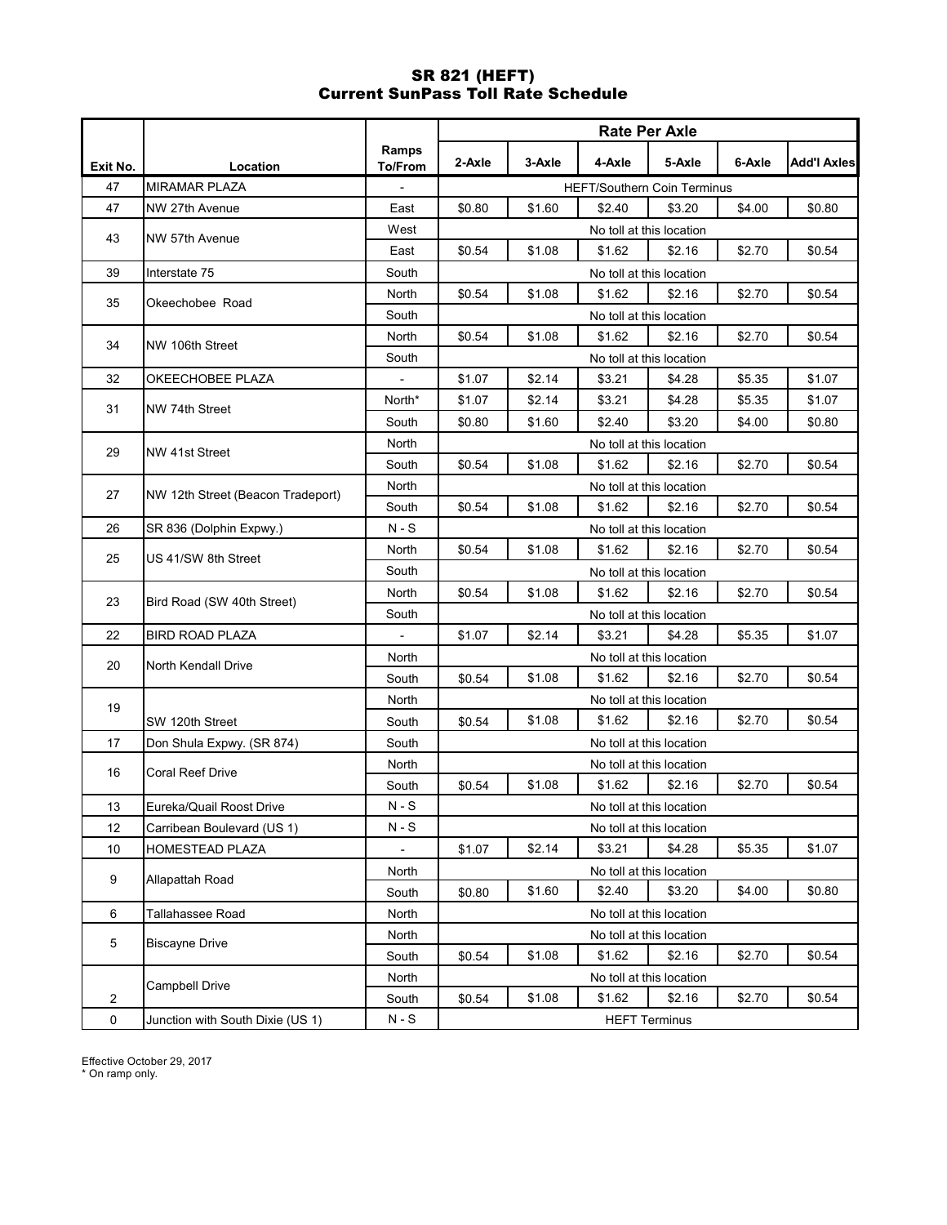# SR 821 (HEFT) Current SunPass Toll Rate Schedule

|                |                                   |                         | <b>Rate Per Axle</b> |        |                                    |                          |        |                    |  |
|----------------|-----------------------------------|-------------------------|----------------------|--------|------------------------------------|--------------------------|--------|--------------------|--|
| Exit No.       | Location                          | Ramps<br><b>To/From</b> | 2-Axle               | 3-Axle | 4-Axle                             | 5-Axle                   | 6-Axle | <b>Add'l Axles</b> |  |
| 47             | <b>MIRAMAR PLAZA</b>              |                         |                      |        | <b>HEFT/Southern Coin Terminus</b> |                          |        |                    |  |
| 47             | NW 27th Avenue                    | East                    | \$0.80               | \$1.60 | \$2.40                             | \$3.20                   | \$4.00 | \$0.80             |  |
|                |                                   | West                    |                      |        |                                    | No toll at this location |        |                    |  |
| 43             | NW 57th Avenue                    | East                    | \$0.54               | \$1.08 | \$1.62                             | \$2.16                   | \$2.70 | \$0.54             |  |
| 39             | Interstate 75                     | South                   |                      |        |                                    | No toll at this location |        |                    |  |
|                |                                   | North                   | \$0.54               | \$1.08 | \$1.62                             | \$2.16                   | \$2.70 | \$0.54             |  |
| 35             | Okeechobee Road                   | South                   |                      |        |                                    | No toll at this location |        |                    |  |
|                |                                   | North                   | \$0.54               | \$1.08 | \$1.62                             | \$2.16                   | \$2.70 | \$0.54             |  |
| 34             | NW 106th Street                   | South                   |                      |        |                                    | No toll at this location |        |                    |  |
| 32             | OKEECHOBEE PLAZA                  | $\frac{1}{2}$           | \$1.07               | \$2.14 | \$3.21                             | \$4.28                   | \$5.35 | \$1.07             |  |
| 31             | NW 74th Street                    | North*                  | \$1.07               | \$2.14 | \$3.21                             | \$4.28                   | \$5.35 | \$1.07             |  |
|                |                                   | South                   | \$0.80               | \$1.60 | \$2.40                             | \$3.20                   | \$4.00 | \$0.80             |  |
| 29             | NW 41st Street                    | North                   |                      |        |                                    | No toll at this location |        |                    |  |
|                |                                   | South                   | \$0.54               | \$1.08 | \$1.62                             | \$2.16                   | \$2.70 | \$0.54             |  |
| 27             | NW 12th Street (Beacon Tradeport) | North                   |                      |        |                                    | No toll at this location |        |                    |  |
|                |                                   | South                   | \$0.54               | \$1.08 | \$1.62                             | \$2.16                   | \$2.70 | \$0.54             |  |
| 26             | SR 836 (Dolphin Expwy.)           | N - S                   |                      |        |                                    | No toll at this location |        |                    |  |
| 25             | US 41/SW 8th Street               | North                   | \$0.54               | \$1.08 | \$1.62                             | \$2.16                   | \$2.70 | \$0.54             |  |
|                |                                   | South                   |                      |        |                                    | No toll at this location |        |                    |  |
| 23             | Bird Road (SW 40th Street)        | North                   | \$0.54               | \$1.08 | \$1.62                             | \$2.16                   | \$2.70 | \$0.54             |  |
|                |                                   | South                   |                      |        |                                    | No toll at this location |        |                    |  |
| 22             | <b>BIRD ROAD PLAZA</b>            |                         | \$1.07               | \$2.14 | \$3.21                             | \$4.28                   | \$5.35 | \$1.07             |  |
| 20             | North Kendall Drive               | North                   |                      |        |                                    | No toll at this location |        |                    |  |
|                |                                   | South                   | \$0.54               | \$1.08 | \$1.62                             | \$2.16                   | \$2.70 | \$0.54             |  |
| 19             |                                   | North                   |                      |        |                                    | No toll at this location |        |                    |  |
|                | SW 120th Street                   | South                   | \$0.54               | \$1.08 | \$1.62                             | \$2.16                   | \$2.70 | \$0.54             |  |
| 17             | Don Shula Expwy. (SR 874)         | South                   |                      |        |                                    | No toll at this location |        |                    |  |
| 16             | Coral Reef Drive                  | North                   |                      |        |                                    | No toll at this location |        |                    |  |
|                |                                   | South                   | \$0.54               | \$1.08 | \$1.62                             | \$2.16                   | \$2.70 | \$0.54             |  |
| 13             | Eureka/Quail Roost Drive          | $N-S$                   |                      |        |                                    | No toll at this location |        |                    |  |
| 12             | Carribean Boulevard (US 1)        | N - S                   |                      |        |                                    | No toll at this location |        |                    |  |
| 10             | HOMESTEAD PLAZA                   | $\blacksquare$          | \$1.07               | \$2.14 | \$3.21                             | \$4.28                   | \$5.35 | \$1.07             |  |
| 9              | Allapattah Road                   | North                   |                      |        |                                    | No toll at this location |        |                    |  |
|                |                                   | South                   | \$0.80               | \$1.60 | \$2.40                             | \$3.20                   | \$4.00 | \$0.80             |  |
| 6              | Tallahassee Road                  | North                   |                      |        |                                    | No toll at this location |        |                    |  |
| 5              | <b>Biscayne Drive</b>             | North                   |                      |        |                                    | No toll at this location |        |                    |  |
|                |                                   | South                   | \$0.54               | \$1.08 | \$1.62                             | \$2.16                   | \$2.70 | \$0.54             |  |
|                | <b>Campbell Drive</b>             | North                   |                      |        |                                    | No toll at this location |        |                    |  |
| $\overline{2}$ |                                   | South                   | \$0.54               | \$1.08 | \$1.62                             | \$2.16                   | \$2.70 | \$0.54             |  |
| $\mathbf 0$    | Junction with South Dixie (US 1)  | $N-S$                   |                      |        |                                    | <b>HEFT Terminus</b>     |        |                    |  |

Effective October 29, 2017

\* On ramp only.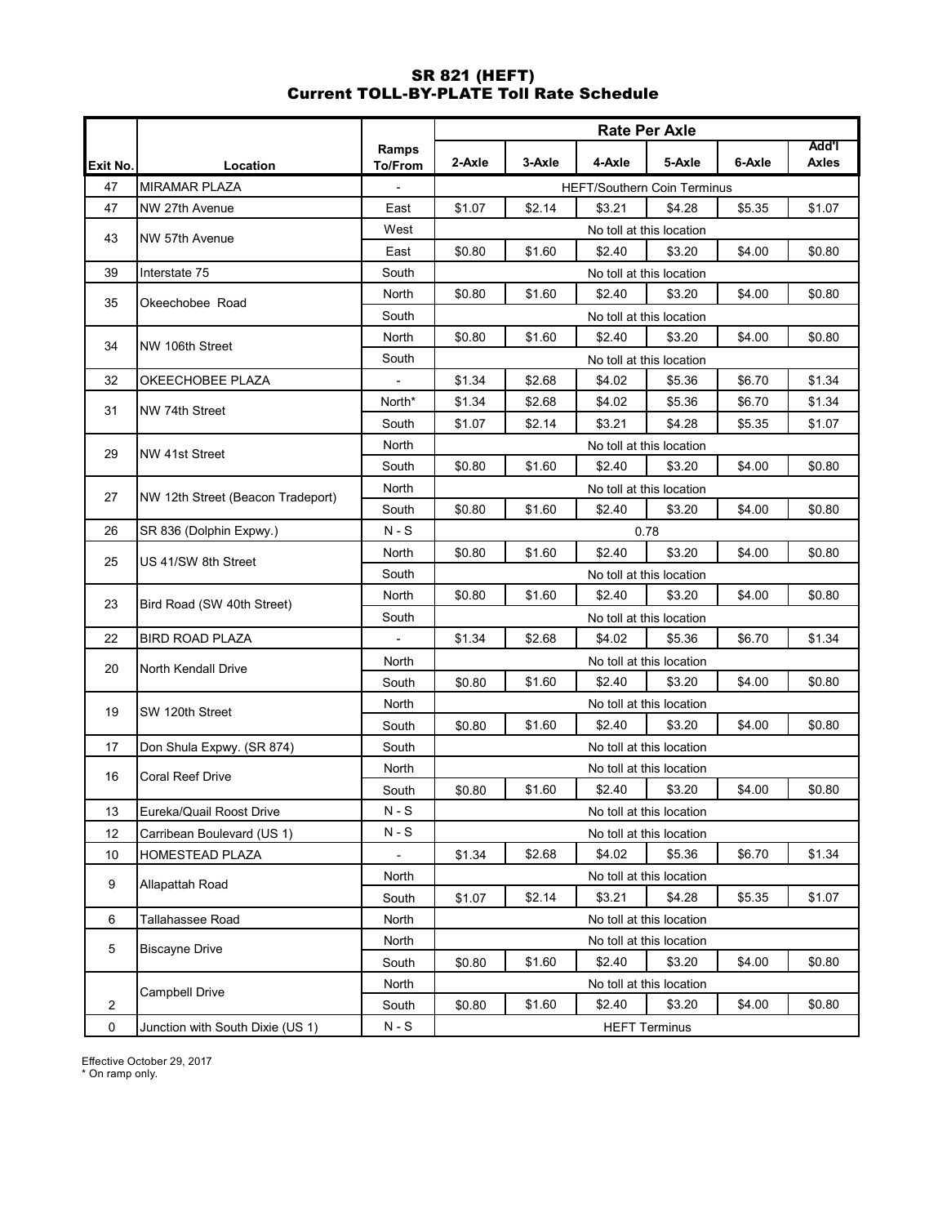# SR 821 (HEFT) Current TOLL-BY-PLATE Toll Rate Schedule

|                |                                   |                          | <b>Rate Per Axle</b> |        |        |                                    |        |              |  |
|----------------|-----------------------------------|--------------------------|----------------------|--------|--------|------------------------------------|--------|--------------|--|
|                |                                   | Ramps                    |                      |        |        |                                    |        | Add'l        |  |
| Exit No.       | Location                          | <b>To/From</b>           | 2-Axle               | 3-Axle | 4-Axle | 5-Axle                             | 6-Axle | <b>Axles</b> |  |
| 47             | <b>MIRAMAR PLAZA</b>              |                          |                      |        |        | <b>HEFT/Southern Coin Terminus</b> |        |              |  |
| 47             | NW 27th Avenue                    | East                     | \$1.07               | \$2.14 | \$3.21 | \$4.28                             | \$5.35 | \$1.07       |  |
| 43             | NW 57th Avenue                    | West                     |                      |        |        | No toll at this location           |        |              |  |
|                |                                   | East                     | \$0.80               | \$1.60 | \$2.40 | \$3.20                             | \$4.00 | \$0.80       |  |
| 39             | Interstate 75                     | South                    |                      |        |        | No toll at this location           |        |              |  |
| 35             | Okeechobee Road                   | North                    | \$0.80               | \$1.60 | \$2.40 | \$3.20                             | \$4.00 | \$0.80       |  |
|                |                                   | South                    |                      |        |        | No toll at this location           |        |              |  |
| 34             | NW 106th Street                   | North                    | \$0.80               | \$1.60 | \$2.40 | \$3.20                             | \$4.00 | \$0.80       |  |
|                |                                   | South                    |                      |        |        | No toll at this location           |        |              |  |
| 32             | OKEECHOBEE PLAZA                  |                          | \$1.34               | \$2.68 | \$4.02 | \$5.36                             | \$6.70 | \$1.34       |  |
| 31             | NW 74th Street                    | North*                   | \$1.34               | \$2.68 | \$4.02 | \$5.36                             | \$6.70 | \$1.34       |  |
|                |                                   | South                    | \$1.07               | \$2.14 | \$3.21 | \$4.28                             | \$5.35 | \$1.07       |  |
| 29             | <b>NW 41st Street</b>             | North                    |                      |        |        | No toll at this location           |        |              |  |
|                |                                   | South                    | \$0.80               | \$1.60 | \$2.40 | \$3.20                             | \$4.00 | \$0.80       |  |
| 27             | NW 12th Street (Beacon Tradeport) | North                    |                      |        |        | No toll at this location           |        |              |  |
|                |                                   | South                    | \$0.80               | \$1.60 | \$2.40 | \$3.20                             | \$4.00 | \$0.80       |  |
| 26             | SR 836 (Dolphin Expwy.)           | N - S                    |                      |        |        | 0.78                               |        |              |  |
| 25             | US 41/SW 8th Street               | North                    | \$0.80               | \$1.60 | \$2.40 | \$3.20                             | \$4.00 | \$0.80       |  |
|                |                                   | South                    |                      |        |        | No toll at this location           |        |              |  |
| 23             | Bird Road (SW 40th Street)        | North                    | \$0.80               | \$1.60 | \$2.40 | \$3.20                             | \$4.00 | \$0.80       |  |
|                |                                   | South                    |                      |        |        | No toll at this location           |        |              |  |
| 22             | <b>BIRD ROAD PLAZA</b>            | $\overline{\phantom{a}}$ | \$1.34               | \$2.68 | \$4.02 | \$5.36                             | \$6.70 | \$1.34       |  |
| 20             | North Kendall Drive               | North                    |                      |        |        | No toll at this location           |        |              |  |
|                |                                   | South                    | \$0.80               | \$1.60 | \$2.40 | \$3.20                             | \$4.00 | \$0.80       |  |
| 19             | SW 120th Street                   | North                    |                      |        |        | No toll at this location           |        |              |  |
|                |                                   | South                    | \$0.80               | \$1.60 | \$2.40 | \$3.20                             | \$4.00 | \$0.80       |  |
| 17             | Don Shula Expwy. (SR 874)         | South                    |                      |        |        | No toll at this location           |        |              |  |
| 16             | <b>Coral Reef Drive</b>           | North                    |                      |        |        | No toll at this location           |        |              |  |
|                |                                   | South                    | \$0.80               | \$1.60 | \$2.40 | \$3.20                             | \$4.00 | \$0.80       |  |
| 13             | Eureka/Quail Roost Drive          | $N-S$                    |                      |        |        | No toll at this location           |        |              |  |
| 12             | Carribean Boulevard (US 1)        | N - S                    |                      |        |        | No toll at this location           |        |              |  |
| 10             | HOMESTEAD PLAZA                   |                          | \$1.34               | \$2.68 | \$4.02 | \$5.36                             | \$6.70 | \$1.34       |  |
|                |                                   | <b>North</b>             |                      |        |        | No toll at this location           |        |              |  |
| 9              | Allapattah Road                   | South                    | \$1.07               | \$2.14 | \$3.21 | \$4.28                             | \$5.35 | \$1.07       |  |
| 6              | Tallahassee Road                  | North                    |                      |        |        | No toll at this location           |        |              |  |
|                |                                   | North                    |                      |        |        | No toll at this location           |        |              |  |
| 5              | <b>Biscayne Drive</b>             | South                    | \$0.80               | \$1.60 | \$2.40 | \$3.20                             | \$4.00 | \$0.80       |  |
|                |                                   | North                    |                      |        |        | No toll at this location           |        |              |  |
| $\overline{2}$ | <b>Campbell Drive</b>             | South                    | \$0.80               | \$1.60 | \$2.40 | \$3.20                             | \$4.00 | \$0.80       |  |
| 0              | Junction with South Dixie (US 1)  | $N-S$                    |                      |        |        | <b>HEFT Terminus</b>               |        |              |  |

Effective October 29, 2017

\* On ramp only.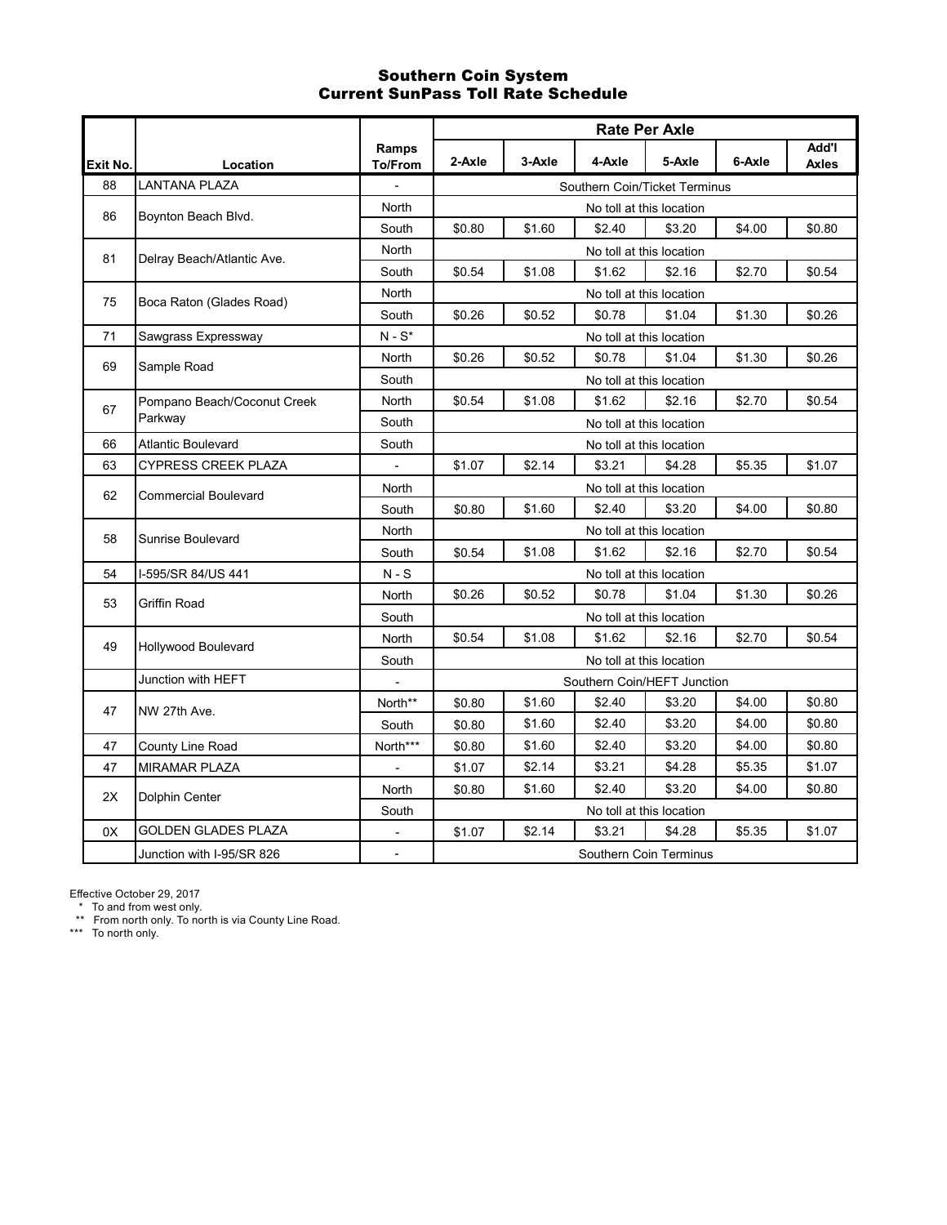### Southern Coin System Current SunPass Toll Rate Schedule

|          |                             |                                     | <b>Rate Per Axle</b> |        |        |                               |        |                              |  |  |
|----------|-----------------------------|-------------------------------------|----------------------|--------|--------|-------------------------------|--------|------------------------------|--|--|
| Exit No. | Location                    | Ramps<br><b>To/From</b>             | 2-Axle               | 3-Axle | 4-Axle | 5-Axle                        | 6-Axle | <b>Add'l</b><br><b>Axles</b> |  |  |
| 88       | LANTANA PLAZA               |                                     |                      |        |        | Southern Coin/Ticket Terminus |        |                              |  |  |
| 86       | Boynton Beach Blvd.         | <b>North</b>                        |                      |        |        | No toll at this location      |        |                              |  |  |
|          |                             | South                               | \$0.80               | \$1.60 | \$2.40 | \$3.20                        | \$4.00 | \$0.80                       |  |  |
| 81       | Delray Beach/Atlantic Ave.  | <b>North</b>                        |                      |        |        | No toll at this location      |        |                              |  |  |
|          |                             | South                               | \$0.54               | \$1.08 | \$1.62 | \$2.16                        | \$2.70 | \$0.54                       |  |  |
| 75       | Boca Raton (Glades Road)    | North                               |                      |        |        | No toll at this location      |        |                              |  |  |
|          |                             | South                               | \$0.26               | \$0.52 | \$0.78 | \$1.04                        | \$1.30 | \$0.26                       |  |  |
| 71       | Sawgrass Expressway         | $\mathsf{N}$ - $\mathsf{S}^{\star}$ |                      |        |        | No toll at this location      |        |                              |  |  |
| 69       | Sample Road                 | North                               | \$0.26               | \$0.52 | \$0.78 | \$1.04                        | \$1.30 | \$0.26                       |  |  |
|          |                             | South                               |                      |        |        | No toll at this location      |        |                              |  |  |
| 67       | Pompano Beach/Coconut Creek | North                               | \$0.54               | \$1.08 | \$1.62 | \$2.16                        | \$2.70 | \$0.54                       |  |  |
|          | Parkway                     | South                               |                      |        |        | No toll at this location      |        |                              |  |  |
| 66       | <b>Atlantic Boulevard</b>   | South                               |                      |        |        | No toll at this location      |        |                              |  |  |
| 63       | CYPRESS CREEK PLAZA         |                                     | \$1.07               | \$2.14 | \$3.21 | \$4.28                        | \$5.35 | \$1.07                       |  |  |
| 62       | <b>Commercial Boulevard</b> | North                               |                      |        |        | No toll at this location      |        |                              |  |  |
|          |                             | South                               | \$0.80               | \$1.60 | \$2.40 | \$3.20                        | \$4.00 | \$0.80                       |  |  |
| 58       | Sunrise Boulevard           | North                               |                      |        |        | No toll at this location      |        |                              |  |  |
|          |                             | South                               | \$0.54               | \$1.08 | \$1.62 | \$2.16                        | \$2.70 | \$0.54                       |  |  |
| 54       | I-595/SR 84/US 441          | $N-S$                               |                      |        |        | No toll at this location      |        |                              |  |  |
| 53       | Griffin Road                | North                               | \$0.26               | \$0.52 | \$0.78 | \$1.04                        | \$1.30 | \$0.26                       |  |  |
|          |                             | South                               |                      |        |        | No toll at this location      |        |                              |  |  |
| 49       | Hollywood Boulevard         | North                               | \$0.54               | \$1.08 | \$1.62 | \$2.16                        | \$2.70 | \$0.54                       |  |  |
|          |                             | South                               |                      |        |        | No toll at this location      |        |                              |  |  |
|          | Junction with HEFT          |                                     |                      |        |        | Southern Coin/HEFT Junction   |        |                              |  |  |
| 47       | NW 27th Ave.                | North**                             | \$0.80               | \$1.60 | \$2.40 | \$3.20                        | \$4.00 | \$0.80                       |  |  |
|          |                             | South                               | \$0.80               | \$1.60 | \$2.40 | \$3.20                        | \$4.00 | \$0.80                       |  |  |
| 47       | County Line Road            | North***                            | \$0.80               | \$1.60 | \$2.40 | \$3.20                        | \$4.00 | \$0.80                       |  |  |
| 47       | <b>MIRAMAR PLAZA</b>        |                                     | \$1.07               | \$2.14 | \$3.21 | \$4.28                        | \$5.35 | \$1.07                       |  |  |
| 2X       | Dolphin Center              | <b>North</b>                        | \$0.80               | \$1.60 | \$2.40 | \$3.20                        | \$4.00 | \$0.80                       |  |  |
|          |                             | South                               |                      |        |        | No toll at this location      |        |                              |  |  |
| 0X       | GOLDEN GLADES PLAZA         |                                     | \$1.07               | \$2.14 | \$3.21 | \$4.28                        | \$5.35 | \$1.07                       |  |  |
|          | Junction with I-95/SR 826   | $\overline{\phantom{a}}$            |                      |        |        | Southern Coin Terminus        |        |                              |  |  |

Effective October 29, 2017

\* To and from west only.

\*\* From north only. To north is via County Line Road.

\*\*\* To north only.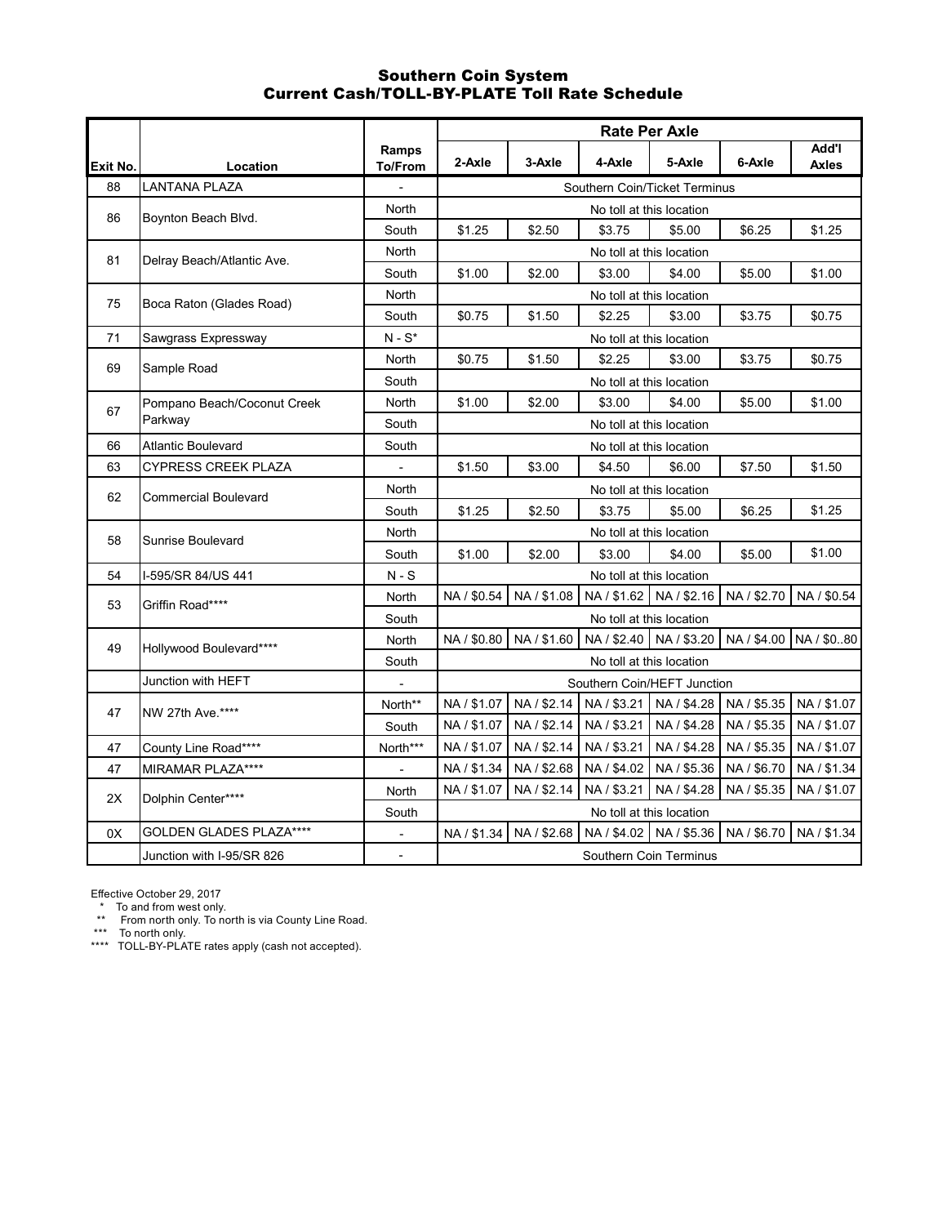#### Southern Coin System Current Cash/TOLL-BY-PLATE Toll Rate Schedule

|          |                             |                  | <b>Rate Per Axle</b> |             |                               |                           |             |                              |  |
|----------|-----------------------------|------------------|----------------------|-------------|-------------------------------|---------------------------|-------------|------------------------------|--|
| Exit No. | Location                    | Ramps<br>To/From | 2-Axle               | 3-Axle      | 4-Axle                        | 5-Axle                    | 6-Axle      | <b>Add'l</b><br><b>Axles</b> |  |
| 88       | LANTANA PLAZA               |                  |                      |             | Southern Coin/Ticket Terminus |                           |             |                              |  |
| 86       | Boynton Beach Blvd.         | North            |                      |             |                               | No toll at this location  |             |                              |  |
|          |                             | South            | \$1.25               | \$2.50      | \$3.75                        | \$5.00                    | \$6.25      | \$1.25                       |  |
| 81       | Delray Beach/Atlantic Ave.  | North            |                      |             |                               | No toll at this location  |             |                              |  |
|          |                             | South            | \$1.00               | \$2.00      | \$3.00                        | \$4.00                    | \$5.00      | \$1.00                       |  |
|          |                             | North            |                      |             |                               | No toll at this location  |             |                              |  |
| 75       | Boca Raton (Glades Road)    | South            | \$0.75               | \$1.50      | \$2.25                        | \$3.00                    | \$3.75      | \$0.75                       |  |
| 71       | Sawgrass Expressway         | $N-S^*$          |                      |             |                               | No toll at this location  |             |                              |  |
| 69       |                             | North            | \$0.75               | \$1.50      | \$2.25                        | \$3.00                    | \$3.75      | \$0.75                       |  |
|          | Sample Road                 | South            |                      |             |                               | No toll at this location  |             |                              |  |
|          | Pompano Beach/Coconut Creek | North            | \$1.00               | \$2.00      | \$3.00                        | \$4.00                    | \$5.00      | \$1.00                       |  |
| 67       | Parkway                     | South            |                      |             |                               | No toll at this location  |             |                              |  |
| 66       | <b>Atlantic Boulevard</b>   | South            |                      |             |                               | No toll at this location  |             |                              |  |
| 63       | <b>CYPRESS CREEK PLAZA</b>  |                  | \$1.50               | \$3.00      | \$4.50                        | \$6.00                    | \$7.50      | \$1.50                       |  |
|          |                             | North            |                      |             |                               | No toll at this location  |             |                              |  |
| 62       | <b>Commercial Boulevard</b> | South            | \$1.25               | \$2.50      | \$3.75                        | \$5.00                    | \$6.25      | \$1.25                       |  |
|          |                             | North            |                      |             |                               | No toll at this location  |             |                              |  |
| 58       | Sunrise Boulevard           | South            | \$1.00               | \$2.00      | \$3.00                        | \$4.00                    | \$5.00      | \$1.00                       |  |
| 54       | I-595/SR 84/US 441          | $N-S$            |                      |             |                               | No toll at this location  |             |                              |  |
| 53       | Griffin Road****            | North            | NA / \$0.54          | NA / \$1.08 |                               | NA / \$1.62 NA / \$2.16   | NA / \$2.70 | NA / \$0.54                  |  |
|          |                             | South            |                      |             |                               | No toll at this location  |             |                              |  |
| 49       |                             | North            | NA / \$0.80          | NA / \$1.60 |                               | NA / \$2.40   NA / \$3.20 |             | NA / \$4.00 NA / \$0.80      |  |
|          | Hollywood Boulevard****     | South            |                      |             |                               | No toll at this location  |             |                              |  |
|          | Junction with HEFT          |                  |                      |             | Southern Coin/HEFT Junction   |                           |             |                              |  |
|          |                             | North**          | NA / \$1.07          | NA / \$2.14 | NA / \$3.21                   | NA / \$4.28               | NA / \$5.35 | NA / \$1.07                  |  |
| 47       | NW 27th Ave.****            | South            | NA / \$1.07          | NA / \$2.14 | NA / \$3.21                   | NA / \$4.28               | NA / \$5.35 | NA / \$1.07                  |  |
| 47       | County Line Road****        | North***         | NA / \$1.07          | NA / \$2.14 | NA / \$3.21                   | NA / \$4.28               | NA / \$5.35 | NA / \$1.07                  |  |
| 47       | MIRAMAR PLAZA****           |                  | NA / \$1.34          | NA / \$2.68 | NA / \$4.02                   | NA / \$5.36               | NA / \$6.70 | NA / \$1.34                  |  |
|          |                             | <b>North</b>     | NA / \$1.07          | NA / \$2.14 | NA / \$3.21                   | NA / \$4.28               | NA / \$5.35 | NA / \$1.07                  |  |
| 2X       | Dolphin Center****          | South            |                      |             |                               | No toll at this location  |             |                              |  |
| 0X       | GOLDEN GLADES PLAZA****     |                  | NA / \$1.34          | NA / \$2.68 |                               | NA / \$4.02 NA / \$5.36   | NA / \$6.70 | NA / \$1.34                  |  |
|          | Junction with I-95/SR 826   | $\overline{a}$   |                      |             |                               | Southern Coin Terminus    |             |                              |  |

Effective October 29, 2017

\* To and from west only.

\*\* From north only. To north is via County Line Road.

\*\*\* To north only.

\*\*\*\* TOLL-BY-PLATE rates apply (cash not accepted).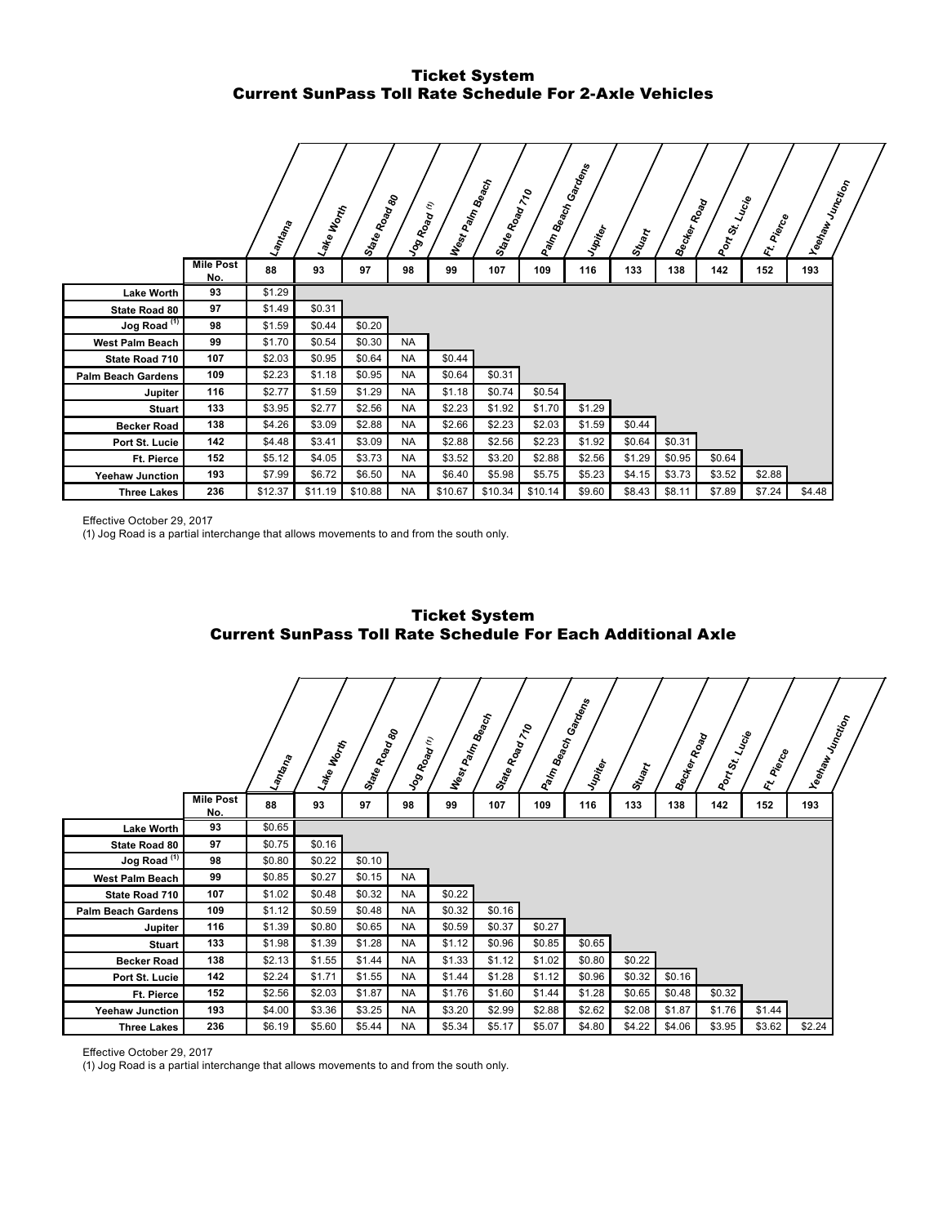# Ticket System Current SunPass Toll Rate Schedule For 2-Axle Vehicles

|                           |                         | Lantana | Lake Worth | Sta <sub>fe Road</sub><br>Road | Vog Road  | West Palm Beach<br>c) | State Road 70 | Palm Beach | Gandens<br>Jupiter | Stuart | <b>Becker Road</b> | Port St. | Lucie<br>IFI Pierce | <b>Veelraw</b> Junction |  |
|---------------------------|-------------------------|---------|------------|--------------------------------|-----------|-----------------------|---------------|------------|--------------------|--------|--------------------|----------|---------------------|-------------------------|--|
|                           | <b>Mile Post</b><br>No. | 88      | 93         | 97                             | 98        | 99                    | 107           | 109        | 116                | 133    | 138                | 142      | 152                 | 193                     |  |
| <b>Lake Worth</b>         | 93                      | \$1.29  |            |                                |           |                       |               |            |                    |        |                    |          |                     |                         |  |
| State Road 80             | 97                      | \$1.49  | \$0.31     |                                |           |                       |               |            |                    |        |                    |          |                     |                         |  |
| Jog Road <sup>(1)</sup>   | 98                      | \$1.59  | \$0.44     | \$0.20                         |           |                       |               |            |                    |        |                    |          |                     |                         |  |
| <b>West Palm Beach</b>    | 99                      | \$1.70  | \$0.54     | \$0.30                         | <b>NA</b> |                       |               |            |                    |        |                    |          |                     |                         |  |
| State Road 710            | 107                     | \$2.03  | \$0.95     | \$0.64                         | <b>NA</b> | \$0.44                |               |            |                    |        |                    |          |                     |                         |  |
| <b>Palm Beach Gardens</b> | 109                     | \$2.23  | \$1.18     | \$0.95                         | <b>NA</b> | \$0.64                | \$0.31        |            |                    |        |                    |          |                     |                         |  |
| Jupiter                   | 116                     | \$2.77  | \$1.59     | \$1.29                         | <b>NA</b> | \$1.18                | \$0.74        | \$0.54     |                    |        |                    |          |                     |                         |  |
| <b>Stuart</b>             | 133                     | \$3.95  | \$2.77     | \$2.56                         | <b>NA</b> | \$2.23                | \$1.92        | \$1.70     | \$1.29             |        |                    |          |                     |                         |  |
| <b>Becker Road</b>        | 138                     | \$4.26  | \$3.09     | \$2.88                         | <b>NA</b> | \$2.66                | \$2.23        | \$2.03     | \$1.59             | \$0.44 |                    |          |                     |                         |  |
| Port St. Lucie            | 142                     | \$4.48  | \$3.41     | \$3.09                         | <b>NA</b> | \$2.88                | \$2.56        | \$2.23     | \$1.92             | \$0.64 | \$0.31             |          |                     |                         |  |
| <b>Ft. Pierce</b>         | 152                     | \$5.12  | \$4.05     | \$3.73                         | <b>NA</b> | \$3.52                | \$3.20        | \$2.88     | \$2.56             | \$1.29 | \$0.95             | \$0.64   |                     |                         |  |
| <b>Yeehaw Junction</b>    | 193                     | \$7.99  | \$6.72     | \$6.50                         | <b>NA</b> | \$6.40                | \$5.98        | \$5.75     | \$5.23             | \$4.15 | \$3.73             | \$3.52   | \$2.88              |                         |  |
| <b>Three Lakes</b>        | 236                     | \$12.37 | \$11.19    | \$10.88                        | <b>NA</b> | \$10.67               | \$10.34       | \$10.14    | \$9.60             | \$8.43 | \$8.11             | \$7.89   | \$7.24              | \$4.48                  |  |

Effective October 29, 2017

(1) Jog Road is a partial interchange that allows movements to and from the south only.



Ticket System Current SunPass Toll Rate Schedule For Each Additional Axle

Effective October 29, 2017

(1) Jog Road is a partial interchange that allows movements to and from the south only.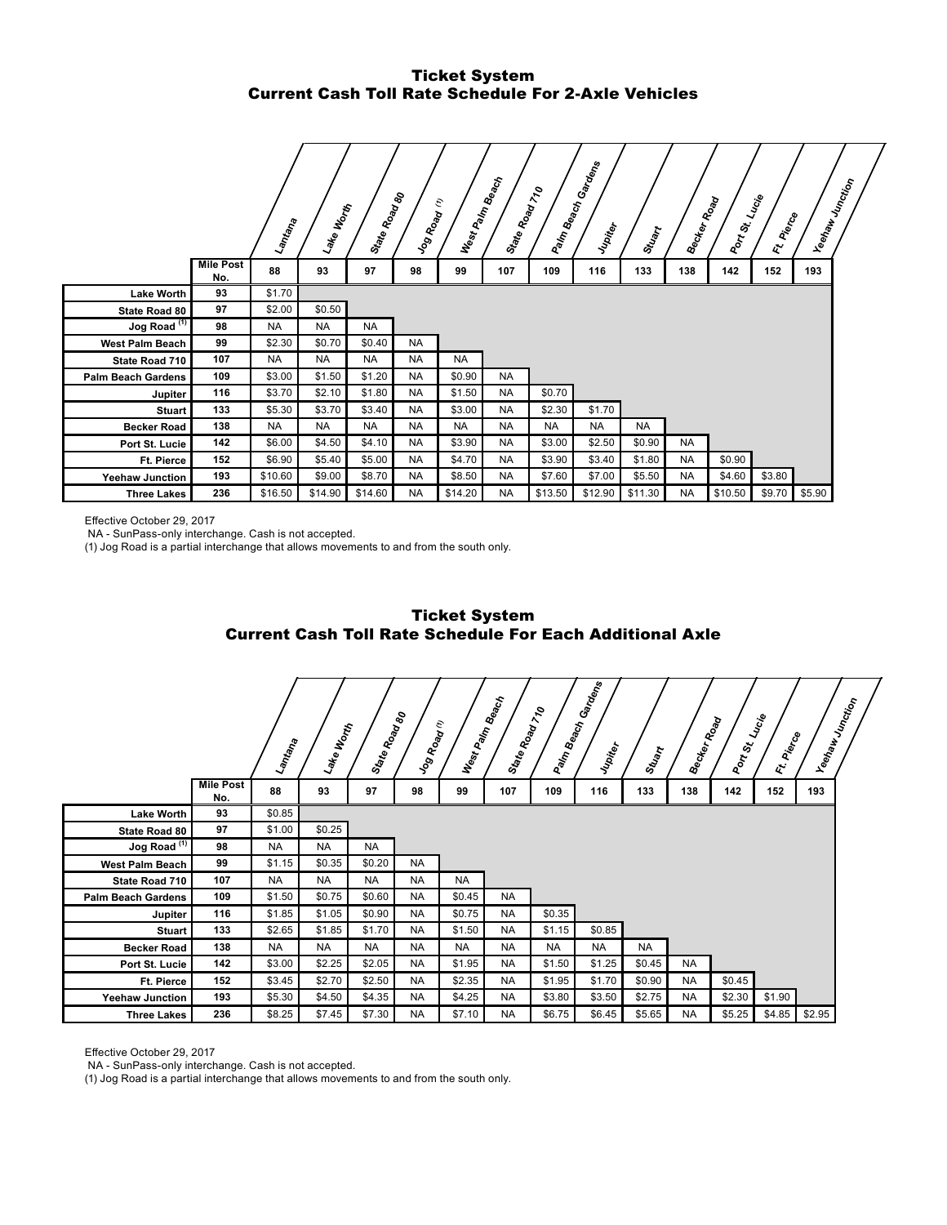# Ticket System Current Cash Toll Rate Schedule For 2-Axle Vehicles

|                           |                         | Lamtana   | Noonh<br>Lake | State Road | Jog Road (1) | West Palm Beach | State Road 710 | Palm Beach | Gardens<br>Jupiter | Stuart    | Becker Road | Port St. Lucie | Pierce<br>$\mathbf{z}^{\prime}$ | Yeehaw<br><sup>Molin</sup> cti <sub>on</sub> |
|---------------------------|-------------------------|-----------|---------------|------------|--------------|-----------------|----------------|------------|--------------------|-----------|-------------|----------------|---------------------------------|----------------------------------------------|
|                           | <b>Mile Post</b><br>No. | 88        | 93            | 97         | 98           | 99              | 107            | 109        | 116                | 133       | 138         | 142            | 152                             | 193                                          |
| <b>Lake Worth</b>         | 93                      | \$1.70    |               |            |              |                 |                |            |                    |           |             |                |                                 |                                              |
| State Road 80             | 97                      | \$2.00    | \$0.50        |            |              |                 |                |            |                    |           |             |                |                                 |                                              |
| Jog Road <sup>(1)</sup>   | 98                      | <b>NA</b> | <b>NA</b>     | <b>NA</b>  |              |                 |                |            |                    |           |             |                |                                 |                                              |
| <b>West Palm Beach</b>    | 99                      | \$2.30    | \$0.70        | \$0.40     | <b>NA</b>    |                 |                |            |                    |           |             |                |                                 |                                              |
| State Road 710            | 107                     | <b>NA</b> | <b>NA</b>     | <b>NA</b>  | <b>NA</b>    | <b>NA</b>       |                |            |                    |           |             |                |                                 |                                              |
| <b>Palm Beach Gardens</b> | 109                     | \$3.00    | \$1.50        | \$1.20     | <b>NA</b>    | \$0.90          | <b>NA</b>      |            |                    |           |             |                |                                 |                                              |
| Jupiter                   | 116                     | \$3.70    | \$2.10        | \$1.80     | <b>NA</b>    | \$1.50          | <b>NA</b>      | \$0.70     |                    |           |             |                |                                 |                                              |
| <b>Stuart</b>             | 133                     | \$5.30    | \$3.70        | \$3.40     | <b>NA</b>    | \$3.00          | <b>NA</b>      | \$2.30     | \$1.70             |           |             |                |                                 |                                              |
| <b>Becker Road</b>        | 138                     | <b>NA</b> | <b>NA</b>     | <b>NA</b>  | <b>NA</b>    | <b>NA</b>       | <b>NA</b>      | <b>NA</b>  | <b>NA</b>          | <b>NA</b> |             |                |                                 |                                              |
| Port St. Lucie            | 142                     | \$6.00    | \$4.50        | \$4.10     | <b>NA</b>    | \$3.90          | <b>NA</b>      | \$3.00     | \$2.50             | \$0.90    | <b>NA</b>   |                |                                 |                                              |
| Ft. Pierce                | 152                     | \$6.90    | \$5.40        | \$5.00     | <b>NA</b>    | \$4.70          | <b>NA</b>      | \$3.90     | \$3.40             | \$1.80    | <b>NA</b>   | \$0.90         |                                 |                                              |
| <b>Yeehaw Junction</b>    | 193                     | \$10.60   | \$9.00        | \$8.70     | <b>NA</b>    | \$8.50          | <b>NA</b>      | \$7.60     | \$7.00             | \$5.50    | <b>NA</b>   | \$4.60         | \$3.80                          |                                              |
| <b>Three Lakes</b>        | 236                     | \$16.50   | \$14.90       | \$14.60    | <b>NA</b>    | \$14.20         | <b>NA</b>      | \$13.50    | \$12.90            | \$11.30   | <b>NA</b>   | \$10.50        | \$9.70                          | \$5.90                                       |

Effective October 29, 2017

NA - SunPass-only interchange. Cash is not accepted.

(1) Jog Road is a partial interchange that allows movements to and from the south only.



|                           |                         | Lamtana   | Lake Worth | State Road<br>Road | Jog Road  | E<br>West Palm | <b>Beach</b><br>State Road 710 | Palm Beach ( | Garagns<br>Jupiter | Stuart    | <b>Becker Road</b> | Port St. | Lucie<br>Ft. Pierce |        | Yeshaw<br><sup>Velaku Junction</sup> |
|---------------------------|-------------------------|-----------|------------|--------------------|-----------|----------------|--------------------------------|--------------|--------------------|-----------|--------------------|----------|---------------------|--------|--------------------------------------|
|                           | <b>Mile Post</b><br>No. | 88        | 93         | 97                 | 98        | 99             | 107                            | 109          | 116                | 133       | 138                | 142      | 152                 | 193    |                                      |
| <b>Lake Worth</b>         | 93                      | \$0.85    |            |                    |           |                |                                |              |                    |           |                    |          |                     |        |                                      |
| State Road 80             | 97                      | \$1.00    | \$0.25     |                    |           |                |                                |              |                    |           |                    |          |                     |        |                                      |
| Jog Road $(1)$            | 98                      | <b>NA</b> | <b>NA</b>  | <b>NA</b>          |           |                |                                |              |                    |           |                    |          |                     |        |                                      |
| <b>West Palm Beach</b>    | 99                      | \$1.15    | \$0.35     | \$0.20             | <b>NA</b> |                |                                |              |                    |           |                    |          |                     |        |                                      |
| State Road 710            | 107                     | <b>NA</b> | <b>NA</b>  | <b>NA</b>          | <b>NA</b> | <b>NA</b>      |                                |              |                    |           |                    |          |                     |        |                                      |
| <b>Palm Beach Gardens</b> | 109                     | \$1.50    | \$0.75     | \$0.60             | <b>NA</b> | \$0.45         | <b>NA</b>                      |              |                    |           |                    |          |                     |        |                                      |
| Jupiter                   | 116                     | \$1.85    | \$1.05     | \$0.90             | <b>NA</b> | \$0.75         | <b>NA</b>                      | \$0.35       |                    |           |                    |          |                     |        |                                      |
| Stuart                    | 133                     | \$2.65    | \$1.85     | \$1.70             | <b>NA</b> | \$1.50         | <b>NA</b>                      | \$1.15       | \$0.85             |           |                    |          |                     |        |                                      |
| <b>Becker Road</b>        | 138                     | <b>NA</b> | <b>NA</b>  | <b>NA</b>          | <b>NA</b> | <b>NA</b>      | <b>NA</b>                      | <b>NA</b>    | <b>NA</b>          | <b>NA</b> |                    |          |                     |        |                                      |
| Port St. Lucie            | 142                     | \$3.00    | \$2.25     | \$2.05             | <b>NA</b> | \$1.95         | <b>NA</b>                      | \$1.50       | \$1.25             | \$0.45    | <b>NA</b>          |          |                     |        |                                      |
| Ft. Pierce                | 152                     | \$3.45    | \$2.70     | \$2.50             | <b>NA</b> | \$2.35         | <b>NA</b>                      | \$1.95       | \$1.70             | \$0.90    | <b>NA</b>          | \$0.45   |                     |        |                                      |
| <b>Yeehaw Junction</b>    | 193                     | \$5.30    | \$4.50     | \$4.35             | <b>NA</b> | \$4.25         | <b>NA</b>                      | \$3.80       | \$3.50             | \$2.75    | <b>NA</b>          | \$2.30   | \$1.90              |        |                                      |
| <b>Three Lakes</b>        | 236                     | \$8.25    | \$7.45     | \$7.30             | <b>NA</b> | \$7.10         | <b>NA</b>                      | \$6.75       | \$6.45             | \$5.65    | <b>NA</b>          | \$5.25   | \$4.85              | \$2.95 |                                      |

Effective October 29, 2017

NA - SunPass-only interchange. Cash is not accepted.

(1) Jog Road is a partial interchange that allows movements to and from the south only.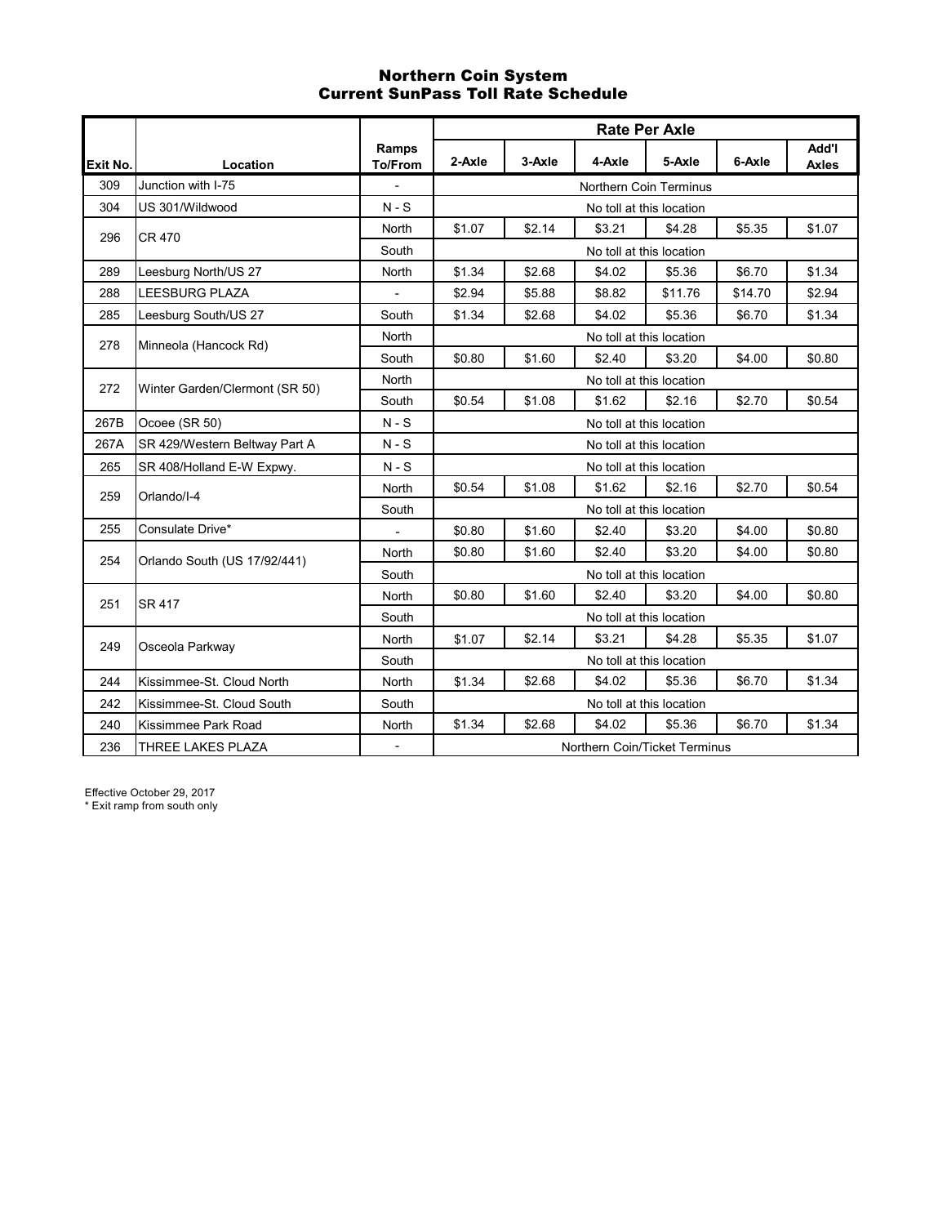# Northern Coin System Current SunPass Toll Rate Schedule

|          |                                |                         |        |        | <b>Rate Per Axle</b>          |                          |         |                       |  |  |  |
|----------|--------------------------------|-------------------------|--------|--------|-------------------------------|--------------------------|---------|-----------------------|--|--|--|
| Exit No. | Location                       | Ramps<br><b>To/From</b> | 2-Axle | 3-Axle | 4-Axle                        | 5-Axle                   | 6-Axle  | Add'l<br><b>Axles</b> |  |  |  |
| 309      | Junction with I-75             | $\blacksquare$          |        |        |                               | Northern Coin Terminus   |         |                       |  |  |  |
| 304      | US 301/Wildwood                | $N-S$                   |        |        |                               | No toll at this location |         |                       |  |  |  |
| 296      | <b>CR 470</b>                  | North                   | \$1.07 | \$2.14 | \$3.21                        | \$4.28                   | \$5.35  | \$1.07                |  |  |  |
|          |                                | South                   |        |        |                               | No toll at this location |         |                       |  |  |  |
| 289      | Leesburg North/US 27           | North                   | \$1.34 | \$2.68 | \$4.02                        | \$5.36                   | \$6.70  | \$1.34                |  |  |  |
| 288      | <b>LEESBURG PLAZA</b>          |                         | \$2.94 | \$5.88 | \$8.82                        | \$11.76                  | \$14.70 | \$2.94                |  |  |  |
| 285      | Leesburg South/US 27           | South                   | \$1.34 | \$2.68 | \$4.02                        | \$5.36                   | \$6.70  | \$1.34                |  |  |  |
| 278      | Minneola (Hancock Rd)          | North                   |        |        |                               | No toll at this location |         |                       |  |  |  |
|          |                                | South                   | \$0.80 | \$1.60 | \$2.40                        | \$3.20                   | \$4.00  | \$0.80                |  |  |  |
| 272      | Winter Garden/Clermont (SR 50) | North                   |        |        |                               | No toll at this location |         |                       |  |  |  |
|          |                                | South                   | \$0.54 | \$1.08 | \$1.62                        | \$2.16                   | \$2.70  | \$0.54                |  |  |  |
| 267B     | Ocoee (SR 50)                  | $N-S$                   |        |        |                               | No toll at this location |         |                       |  |  |  |
| 267A     | SR 429/Western Beltway Part A  | $N-S$                   |        |        |                               | No toll at this location |         |                       |  |  |  |
| 265      | SR 408/Holland E-W Expwy.      | $N-S$                   |        |        |                               | No toll at this location |         |                       |  |  |  |
| 259      | Orlando/I-4                    | North                   | \$0.54 | \$1.08 | \$1.62                        | \$2.16                   | \$2.70  | \$0.54                |  |  |  |
|          |                                | South                   |        |        |                               | No toll at this location |         |                       |  |  |  |
| 255      | Consulate Drive*               |                         | \$0.80 | \$1.60 | \$2.40                        | \$3.20                   | \$4.00  | \$0.80                |  |  |  |
| 254      | Orlando South (US 17/92/441)   | North                   | \$0.80 | \$1.60 | \$2.40                        | \$3.20                   | \$4.00  | \$0.80                |  |  |  |
|          |                                | South                   |        |        |                               | No toll at this location |         |                       |  |  |  |
| 251      | SR 417                         | North                   | \$0.80 | \$1.60 | \$2.40                        | \$3.20                   | \$4.00  | \$0.80                |  |  |  |
|          |                                | South                   |        |        |                               | No toll at this location |         |                       |  |  |  |
| 249      | Osceola Parkway                | North                   | \$1.07 | \$2.14 | \$3.21                        | \$4.28                   | \$5.35  | \$1.07                |  |  |  |
|          |                                | South                   |        |        |                               | No toll at this location |         |                       |  |  |  |
| 244      | Kissimmee-St. Cloud North      | <b>North</b>            | \$1.34 | \$2.68 | \$4.02                        | \$5.36                   | \$6.70  | \$1.34                |  |  |  |
| 242      | Kissimmee-St. Cloud South      | South                   |        |        |                               | No toll at this location |         |                       |  |  |  |
| 240      | Kissimmee Park Road            | North                   | \$1.34 | \$2.68 | \$4.02                        | \$5.36                   | \$6.70  | \$1.34                |  |  |  |
| 236      | THREE LAKES PLAZA              |                         |        |        | Northern Coin/Ticket Terminus |                          |         |                       |  |  |  |

Effective October 29, 2017

\* Exit ramp from south only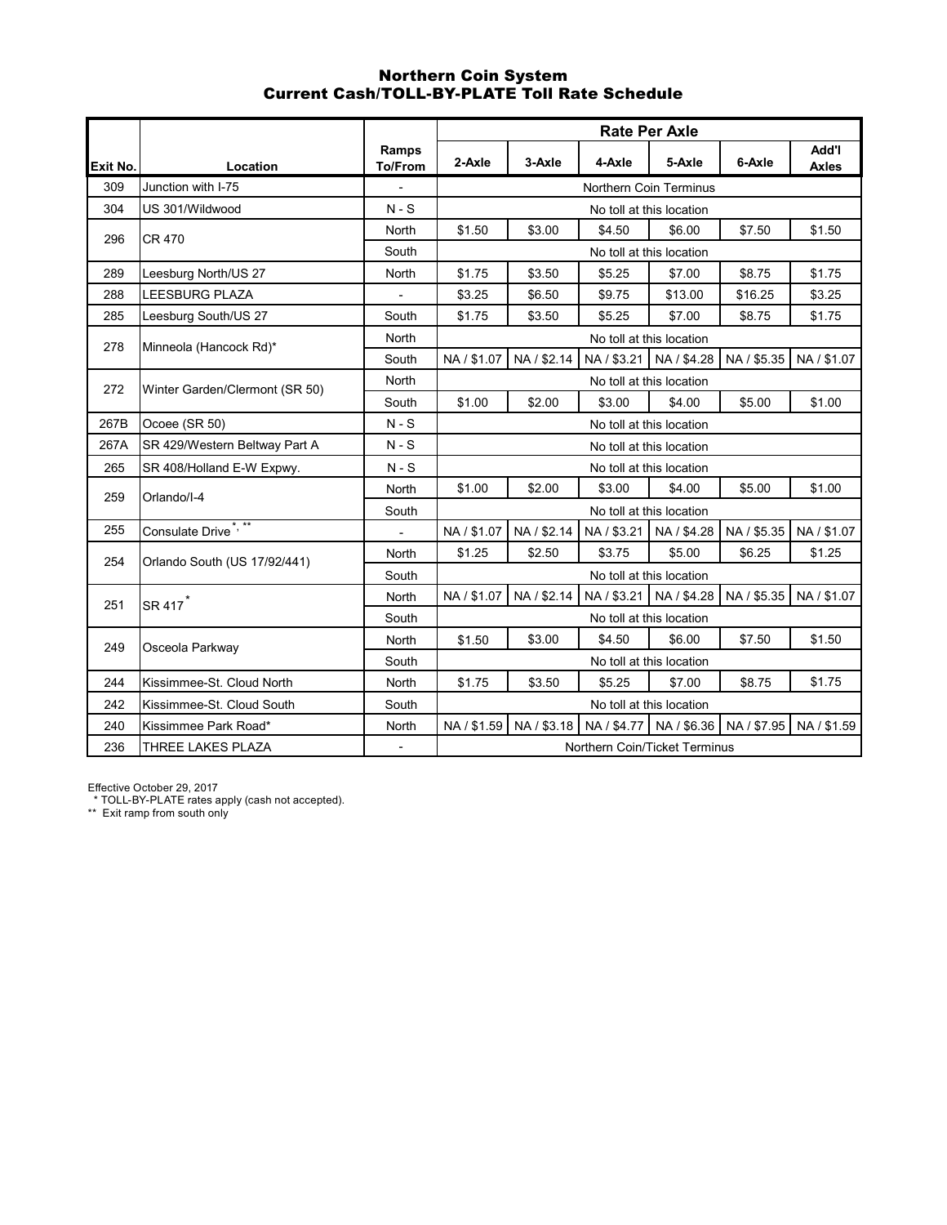### Northern Coin System Current Cash/TOLL-BY-PLATE Toll Rate Schedule

|                 |                                 |                          |             |             |             | <b>Rate Per Axle</b>          |             |                       |
|-----------------|---------------------------------|--------------------------|-------------|-------------|-------------|-------------------------------|-------------|-----------------------|
| <b>Exit No.</b> | Location                        | Ramps<br><b>To/From</b>  | 2-Axle      | 3-Axle      | 4-Axle      | 5-Axle                        | 6-Axle      | Add'l<br><b>Axles</b> |
| 309             | Junction with I-75              | $\overline{a}$           |             |             |             | <b>Northern Coin Terminus</b> |             |                       |
| 304             | US 301/Wildwood                 | $N-S$                    |             |             |             | No toll at this location      |             |                       |
| 296             | <b>CR 470</b>                   | North                    | \$1.50      | \$3.00      | \$4.50      | \$6.00                        | \$7.50      | \$1.50                |
|                 |                                 | South                    |             |             |             | No toll at this location      |             |                       |
| 289             | Leesburg North/US 27            | North                    | \$1.75      | \$3.50      | \$5.25      | \$7.00                        | \$8.75      | \$1.75                |
| 288             | <b>LEESBURG PLAZA</b>           |                          | \$3.25      | \$6.50      | \$9.75      | \$13.00                       | \$16.25     | \$3.25                |
| 285             | Leesburg South/US 27            | South                    | \$1.75      | \$3.50      | \$5.25      | \$7.00                        | \$8.75      | \$1.75                |
| 278             | Minneola (Hancock Rd)*          | North                    |             |             |             | No toll at this location      |             |                       |
|                 |                                 | South                    | NA / \$1.07 | NA / \$2.14 |             | NA / \$3.21   NA / \$4.28     | NA / \$5.35 | NA / \$1.07           |
| 272             | Winter Garden/Clermont (SR 50)  | North                    |             |             |             | No toll at this location      |             |                       |
|                 |                                 | South                    | \$1.00      | \$2.00      | \$3.00      | \$4.00                        | \$5.00      | \$1.00                |
| 267B            | Ocoee (SR 50)                   | $N-S$                    |             |             |             | No toll at this location      |             |                       |
| 267A            | SR 429/Western Beltway Part A   | $N-S$                    |             |             |             | No toll at this location      |             |                       |
| 265             | SR 408/Holland E-W Expwy.       | $N-S$                    |             |             |             | No toll at this location      |             |                       |
| 259             | Orlando/I-4                     | North                    | \$1.00      | \$2.00      | \$3.00      | \$4.00                        | \$5.00      | \$1.00                |
|                 |                                 | South                    |             |             |             | No toll at this location      |             |                       |
| 255             | Consulate Drive <sup>*,**</sup> | ÷,                       | NA / \$1.07 | NA / \$2.14 | NA / \$3.21 | NA / \$4.28                   | NA / \$5.35 | NA / \$1.07           |
| 254             | Orlando South (US 17/92/441)    | North                    | \$1.25      | \$2.50      | \$3.75      | \$5.00                        | \$6.25      | \$1.25                |
|                 |                                 | South                    |             |             |             | No toll at this location      |             |                       |
| 251             | SR 417 <sup>*</sup>             | North                    | NA / \$1.07 | NA / \$2.14 | NA / \$3.21 | NA / \$4.28                   | NA / \$5.35 | NA / \$1.07           |
|                 |                                 | South                    |             |             |             | No toll at this location      |             |                       |
| 249             | Osceola Parkway                 | North                    | \$1.50      | \$3.00      | \$4.50      | \$6.00                        | \$7.50      | \$1.50                |
|                 |                                 | South                    |             |             |             | No toll at this location      |             |                       |
| 244             | Kissimmee-St. Cloud North       | North                    | \$1.75      | \$3.50      | \$5.25      | \$7.00                        | \$8.75      | \$1.75                |
| 242             | Kissimmee-St. Cloud South       | South                    |             |             |             | No toll at this location      |             |                       |
| 240             | Kissimmee Park Road*            | North                    | NA / \$1.59 | NA / \$3.18 | NA / \$4.77 | NA / \$6.36                   | NA / \$7.95 | NA / \$1.59           |
| 236             | <b>THREE LAKES PLAZA</b>        | $\overline{\phantom{a}}$ |             |             |             | Northern Coin/Ticket Terminus |             |                       |

Effective October 29, 2017

\* TOLL-BY-PLATE rates apply (cash not accepted).

\*\* Exit ramp from south only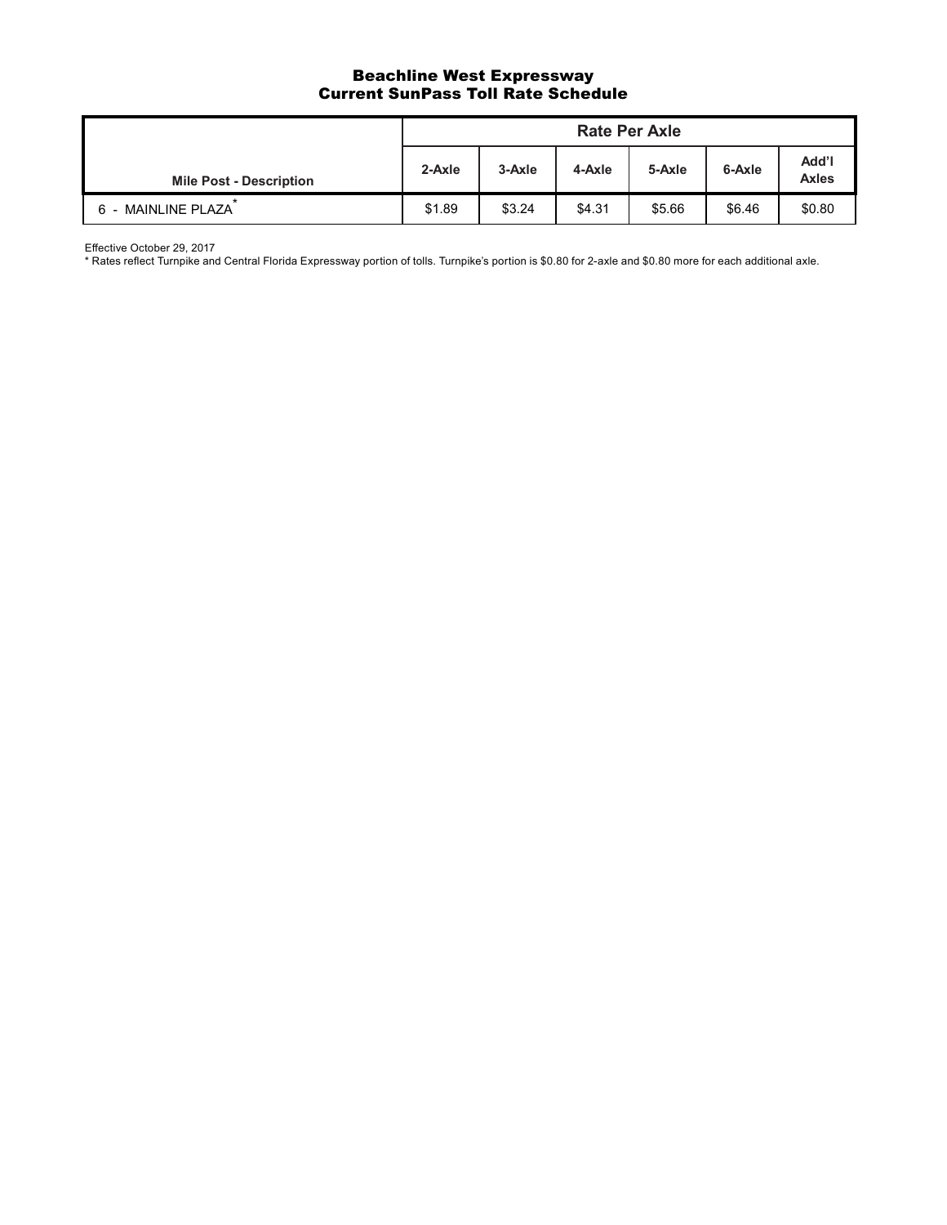### Beachline West Expressway Current SunPass Toll Rate Schedule

|                                |        |        | <b>Rate Per Axle</b> |        |        |                       |
|--------------------------------|--------|--------|----------------------|--------|--------|-----------------------|
| <b>Mile Post - Description</b> | 2-Axle | 3-Axle | 4-Axle               | 5-Axle | 6-Axle | Add'l<br><b>Axles</b> |
| <b>MAINLINE PLAZA</b><br>6 -   | \$1.89 | \$3.24 | \$4.31               | \$5.66 | \$6.46 | \$0.80                |

Effective October 29, 2017

\* Rates reflect Turnpike and Central Florida Expressway portion of tolls. Turnpike's portion is \$0.80 for 2-axle and \$0.80 more for each additional axle.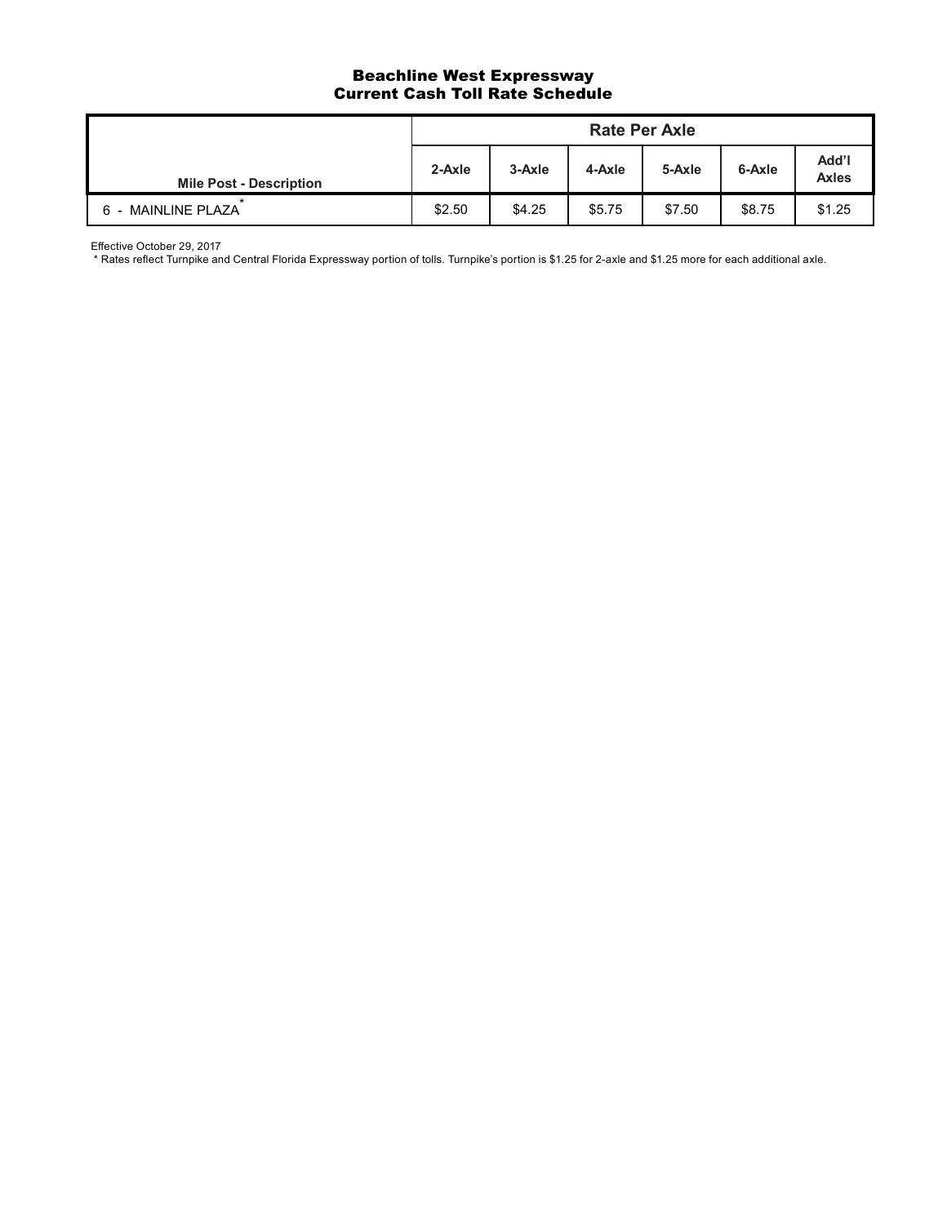## Beachline West Expressway Current Cash Toll Rate Schedule

|                                |        |        | <b>Rate Per Axle</b> |        |        |                |
|--------------------------------|--------|--------|----------------------|--------|--------|----------------|
| <b>Mile Post - Description</b> | 2-Axle | 3-Axle | 4-Axle               | 5-Axle | 6-Axle | Add'l<br>Axles |
| 6 - MAINLINE PLAZA             | \$2.50 | \$4.25 | \$5.75               | \$7.50 | \$8.75 | \$1.25         |

Effective October 29, 2017

\* Rates reflect Turnpike and Central Florida Expressway portion of tolls. Turnpike's portion is \$1.25 for 2-axle and \$1.25 more for each additional axle.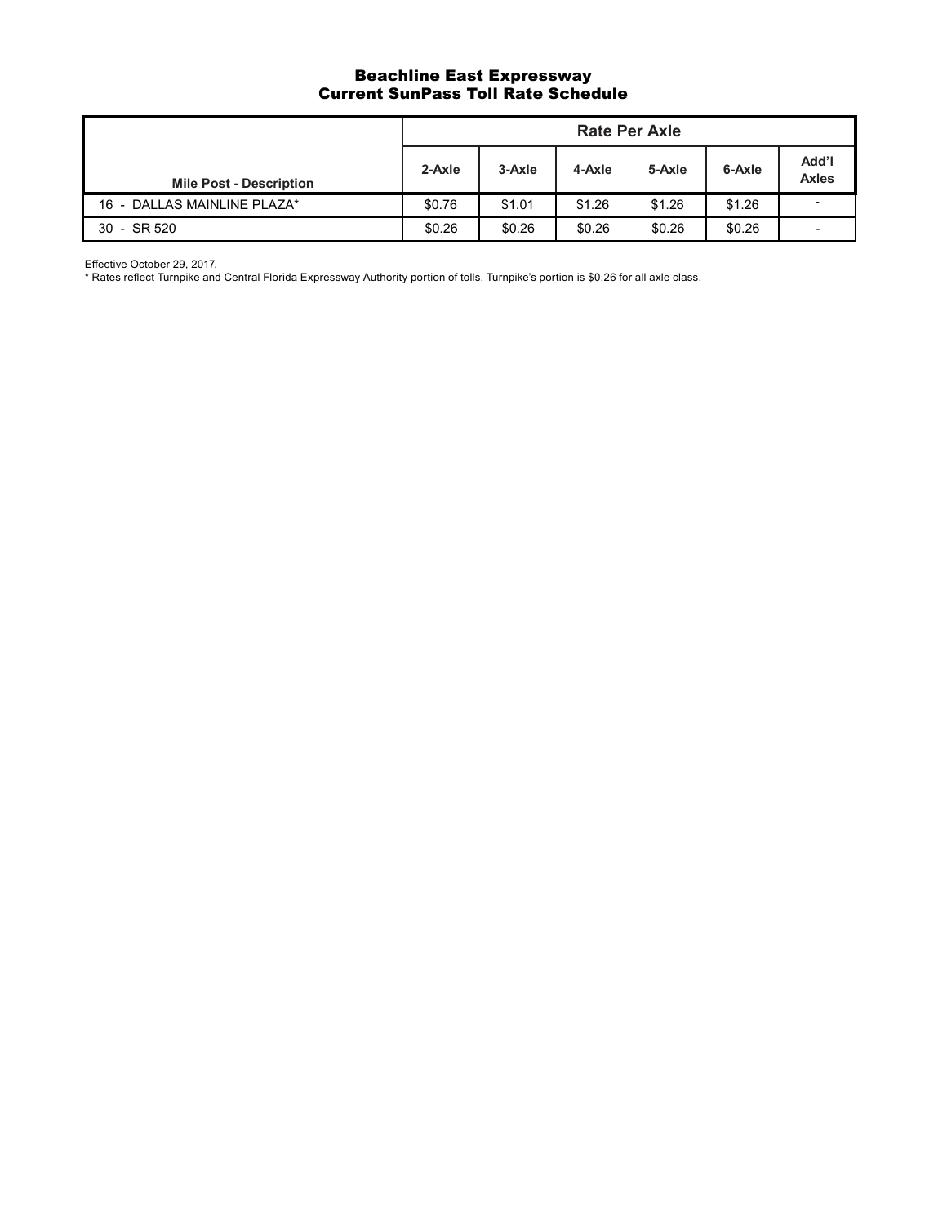#### Beachline East Expressway Current SunPass Toll Rate Schedule

|                                |        |        |        | <b>Rate Per Axle</b> |        |                          |
|--------------------------------|--------|--------|--------|----------------------|--------|--------------------------|
| <b>Mile Post - Description</b> | 2-Axle | 3-Axle | 4-Axle | 5-Axle               | 6-Axle | Add'l<br>Axles           |
| 16 - DALLAS MAINLINE PLAZA*    | \$0.76 | \$1.01 | \$1.26 | \$1.26               | \$1.26 | $\overline{\phantom{a}}$ |
| 30 - SR 520                    | \$0.26 | \$0.26 | \$0.26 | \$0.26               | \$0.26 | ٠                        |

Effective October 29, 2017.

\* Rates reflect Turnpike and Central Florida Expressway Authority portion of tolls. Turnpike's portion is \$0.26 for all axle class.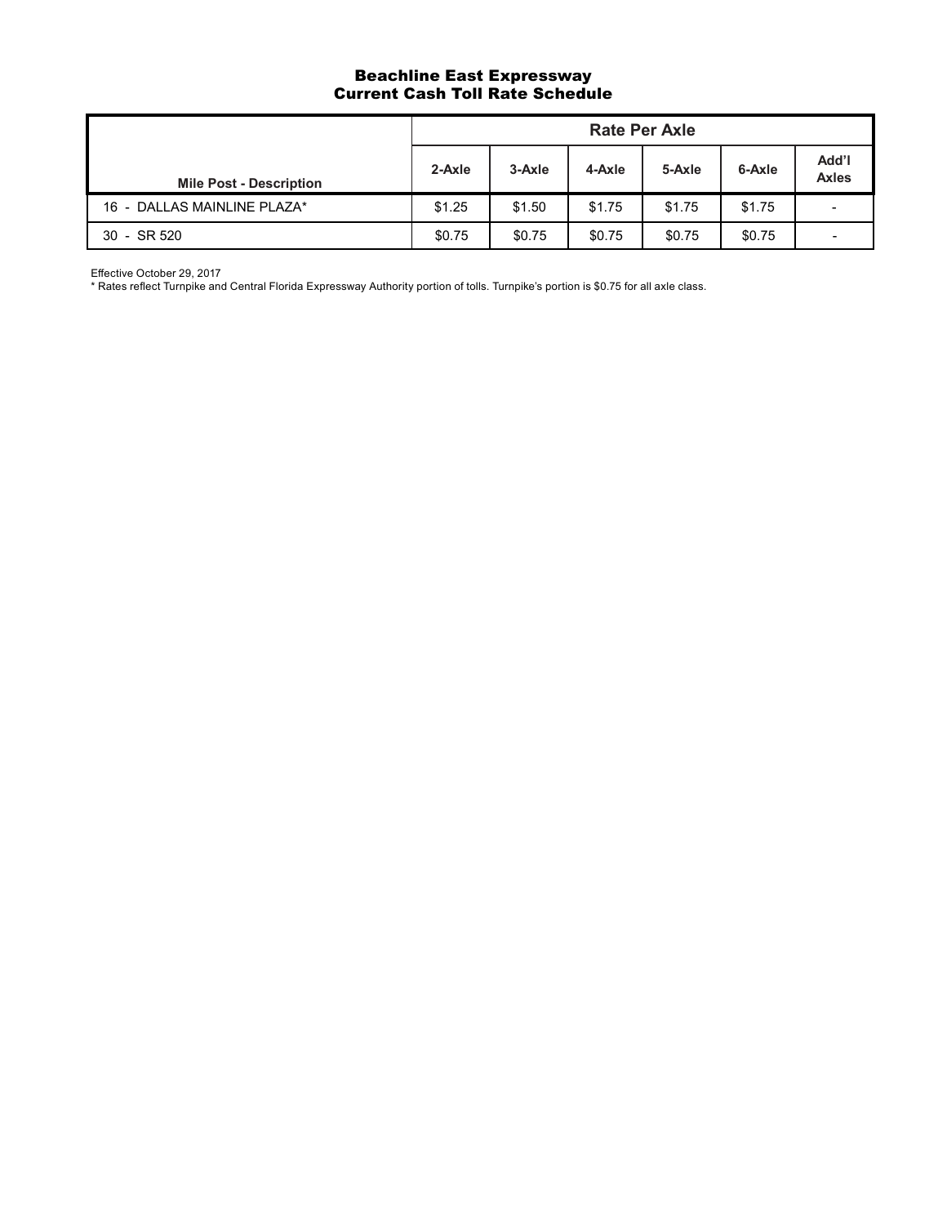#### Beachline East Expressway Current Cash Toll Rate Schedule

|                                |        |        |        | <b>Rate Per Axle</b> |        |                          |
|--------------------------------|--------|--------|--------|----------------------|--------|--------------------------|
| <b>Mile Post - Description</b> | 2-Axle | 3-Axle | 4-Axle | 5-Axle               | 6-Axle | Add'l<br><b>Axles</b>    |
| 16 - DALLAS MAINLINE PLAZA*    | \$1.25 | \$1.50 | \$1.75 | \$1.75               | \$1.75 | $\overline{\phantom{0}}$ |
| 30 - SR 520                    | \$0.75 | \$0.75 | \$0.75 | \$0.75               | \$0.75 | ۰                        |

Effective October 29, 2017

\* Rates reflect Turnpike and Central Florida Expressway Authority portion of tolls. Turnpike's portion is \$0.75 for all axle class.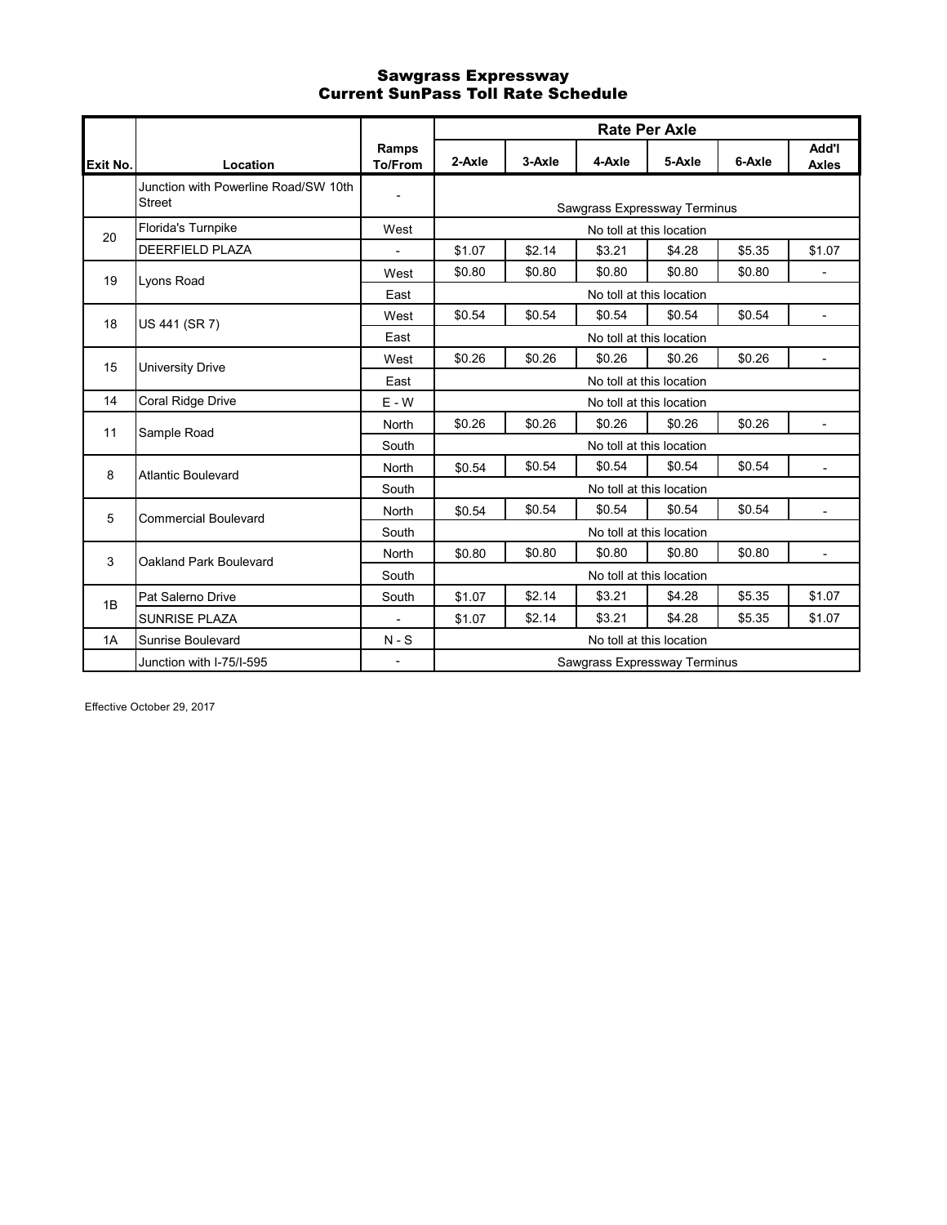# Sawgrass Expressway Current SunPass Toll Rate Schedule

|          |                                                       |                          |        |        | <b>Rate Per Axle</b>         |                          |        |                          |
|----------|-------------------------------------------------------|--------------------------|--------|--------|------------------------------|--------------------------|--------|--------------------------|
| Exit No. | Location                                              | Ramps<br><b>To/From</b>  | 2-Axle | 3-Axle | 4-Axle                       | 5-Axle                   | 6-Axle | Add'l<br><b>Axles</b>    |
|          | Junction with Powerline Road/SW 10th<br><b>Street</b> | $\overline{a}$           |        |        | Sawgrass Expressway Terminus |                          |        |                          |
| 20       | Florida's Turnpike                                    | West                     |        |        | No toll at this location     |                          |        |                          |
|          | <b>DEERFIELD PLAZA</b>                                | $\overline{\phantom{a}}$ | \$1.07 | \$2.14 | \$3.21                       | \$4.28                   | \$5.35 | \$1.07                   |
| 19       | Lyons Road                                            | West                     | \$0.80 | \$0.80 | \$0.80                       | \$0.80                   | \$0.80 | $\overline{\phantom{a}}$ |
|          |                                                       | East                     |        |        | No toll at this location     |                          |        |                          |
| 18       | US 441 (SR 7)                                         | West                     | \$0.54 | \$0.54 | \$0.54                       | \$0.54                   | \$0.54 |                          |
|          |                                                       | East                     |        |        | No toll at this location     |                          |        |                          |
| 15       | University Drive                                      | West                     | \$0.26 | \$0.26 | \$0.26                       | \$0.26                   | \$0.26 | $\blacksquare$           |
|          |                                                       | East                     |        |        | No toll at this location     |                          |        |                          |
| 14       | Coral Ridge Drive                                     | $E - W$                  |        |        | No toll at this location     |                          |        |                          |
| 11       | Sample Road                                           | <b>North</b>             | \$0.26 | \$0.26 | \$0.26                       | \$0.26                   | \$0.26 | $\overline{a}$           |
|          |                                                       | South                    |        |        | No toll at this location     |                          |        |                          |
| 8        | <b>Atlantic Boulevard</b>                             | <b>North</b>             | \$0.54 | \$0.54 | \$0.54                       | \$0.54                   | \$0.54 | $\blacksquare$           |
|          |                                                       | South                    |        |        |                              | No toll at this location |        |                          |
| 5        | <b>Commercial Boulevard</b>                           | <b>North</b>             | \$0.54 | \$0.54 | \$0.54                       | \$0.54                   | \$0.54 |                          |
|          |                                                       | South                    |        |        |                              | No toll at this location |        |                          |
| 3        | Oakland Park Boulevard                                | <b>North</b>             | \$0.80 | \$0.80 | \$0.80                       | \$0.80                   | \$0.80 |                          |
|          |                                                       | South                    |        |        |                              | No toll at this location |        |                          |
| 1B       | Pat Salerno Drive                                     | South                    | \$1.07 | \$2.14 | \$3.21                       | \$4.28                   | \$5.35 | \$1.07                   |
|          | <b>SUNRISE PLAZA</b>                                  | $\frac{1}{2}$            | \$1.07 | \$2.14 | \$3.21                       | \$4.28                   | \$5.35 | \$1.07                   |
| 1A       | <b>Sunrise Boulevard</b>                              | $N-S$                    |        |        |                              | No toll at this location |        |                          |
|          | Junction with I-75/I-595                              | $\overline{\phantom{a}}$ |        |        | Sawgrass Expressway Terminus |                          |        |                          |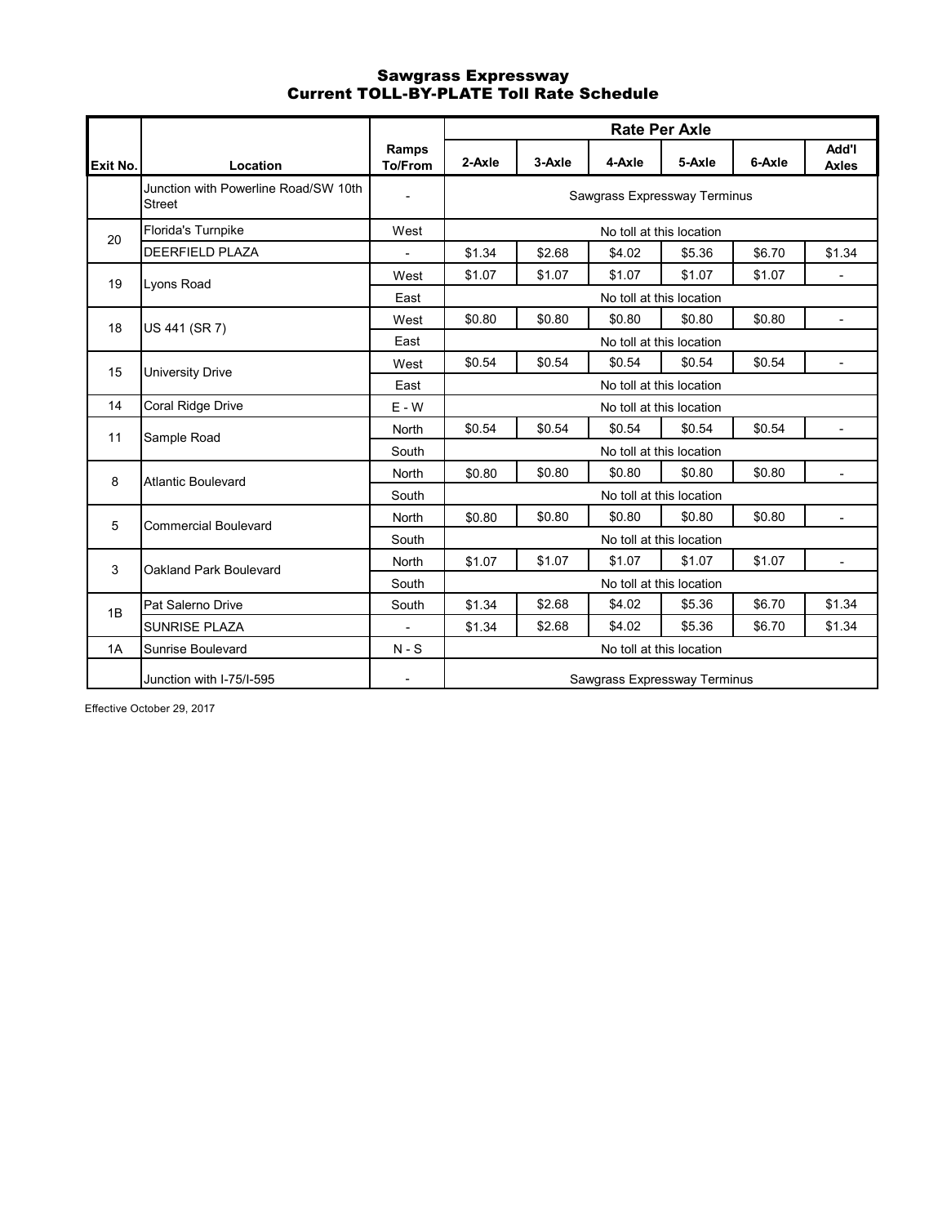# Sawgrass Expressway Current TOLL-BY-PLATE Toll Rate Schedule

|          |                                                       |                                |        |        |                              | <b>Rate Per Axle</b>     |        |                              |
|----------|-------------------------------------------------------|--------------------------------|--------|--------|------------------------------|--------------------------|--------|------------------------------|
| Exit No. | Location                                              | <b>Ramps</b><br><b>To/From</b> | 2-Axle | 3-Axle | 4-Axle                       | 5-Axle                   | 6-Axle | <b>Add'l</b><br><b>Axles</b> |
|          | Junction with Powerline Road/SW 10th<br><b>Street</b> |                                |        |        | Sawgrass Expressway Terminus |                          |        |                              |
| 20       | Florida's Turnpike                                    | West                           |        |        |                              | No toll at this location |        |                              |
|          | <b>DEERFIELD PLAZA</b>                                |                                | \$1.34 | \$2.68 | \$4.02                       | \$5.36                   | \$6.70 | \$1.34                       |
| 19       | Lyons Road                                            | West                           | \$1.07 | \$1.07 | \$1.07                       | \$1.07                   | \$1.07 |                              |
|          |                                                       | East                           |        |        |                              | No toll at this location |        |                              |
| 18       | US 441 (SR 7)                                         | West                           | \$0.80 | \$0.80 | \$0.80                       | \$0.80                   | \$0.80 | $\blacksquare$               |
|          |                                                       | East                           |        |        |                              | No toll at this location |        |                              |
| 15       | <b>University Drive</b>                               | West                           | \$0.54 | \$0.54 | \$0.54                       | \$0.54                   | \$0.54 | $\blacksquare$               |
|          |                                                       | East                           |        |        |                              | No toll at this location |        |                              |
| 14       | Coral Ridge Drive                                     | $E - W$                        |        |        |                              | No toll at this location |        |                              |
| 11       | Sample Road                                           | North                          | \$0.54 | \$0.54 | \$0.54                       | \$0.54                   | \$0.54 |                              |
|          |                                                       | South                          |        |        |                              | No toll at this location |        |                              |
| 8        | <b>Atlantic Boulevard</b>                             | North                          | \$0.80 | \$0.80 | \$0.80                       | \$0.80                   | \$0.80 |                              |
|          |                                                       | South                          |        |        |                              | No toll at this location |        |                              |
| 5        | <b>Commercial Boulevard</b>                           | <b>North</b>                   | \$0.80 | \$0.80 | \$0.80                       | \$0.80                   | \$0.80 | $\overline{\phantom{a}}$     |
|          |                                                       | South                          |        |        |                              | No toll at this location |        |                              |
| 3        | Oakland Park Boulevard                                | North                          | \$1.07 | \$1.07 | \$1.07                       | \$1.07                   | \$1.07 | $\blacksquare$               |
|          |                                                       | South                          |        |        |                              | No toll at this location |        |                              |
| 1B       | Pat Salerno Drive                                     | South                          | \$1.34 | \$2.68 | \$4.02                       | \$5.36                   | \$6.70 | \$1.34                       |
|          | <b>SUNRISE PLAZA</b>                                  | $\overline{\phantom{a}}$       | \$1.34 | \$2.68 | \$4.02                       | \$5.36                   | \$6.70 | \$1.34                       |
| 1A       | <b>Sunrise Boulevard</b>                              | $N-S$                          |        |        |                              | No toll at this location |        |                              |
|          | Junction with I-75/I-595                              |                                |        |        | Sawgrass Expressway Terminus |                          |        |                              |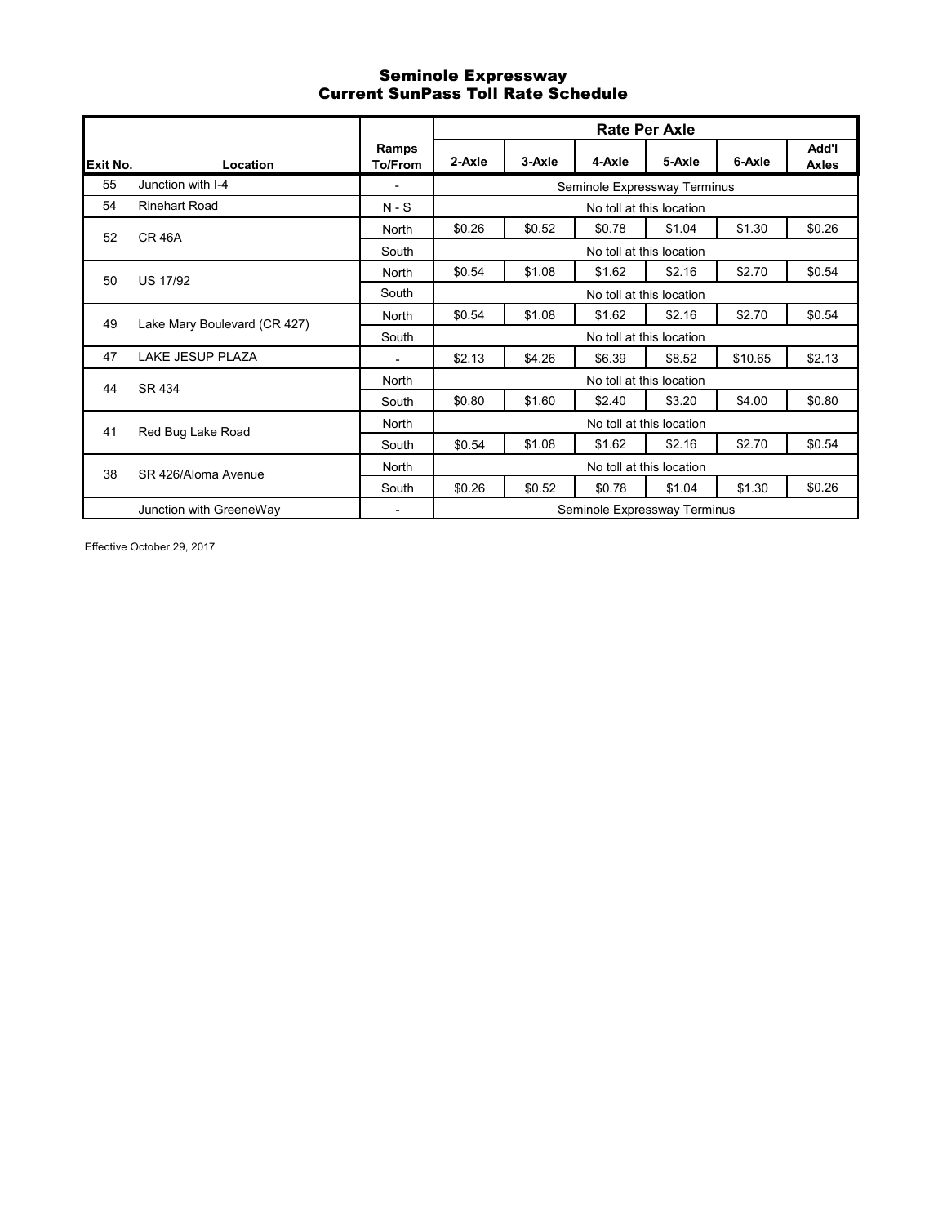### Seminole Expressway Current SunPass Toll Rate Schedule

|          |                              |                          |        |        |                              | <b>Rate Per Axle</b>     |         |                       |
|----------|------------------------------|--------------------------|--------|--------|------------------------------|--------------------------|---------|-----------------------|
| Exit No. | Location                     | Ramps<br>To/From         | 2-Axle | 3-Axle | 4-Axle                       | 5-Axle                   | 6-Axle  | Add'l<br><b>Axles</b> |
| 55       | Junction with I-4            | ۰                        |        |        | Seminole Expressway Terminus |                          |         |                       |
| 54       | Rinehart Road                | $N-S$                    |        |        |                              | No toll at this location |         |                       |
| 52       | <b>CR 46A</b>                | North                    | \$0.26 | \$0.52 | \$0.78                       | \$1.04                   | \$1.30  | \$0.26                |
|          |                              | South                    |        |        |                              | No toll at this location |         |                       |
| 50       | US 17/92                     | North                    | \$0.54 | \$1.08 | \$1.62                       | \$2.16                   | \$2.70  | \$0.54                |
|          |                              | South                    |        |        |                              | No toll at this location |         |                       |
| 49       | Lake Mary Boulevard (CR 427) | North                    | \$0.54 | \$1.08 | \$1.62                       | \$2.16                   | \$2.70  | \$0.54                |
|          |                              | South                    |        |        |                              | No toll at this location |         |                       |
| 47       | LAKE JESUP PLAZA             | ۰                        | \$2.13 | \$4.26 | \$6.39                       | \$8.52                   | \$10.65 | \$2.13                |
| 44       | SR 434                       | North                    |        |        |                              | No toll at this location |         |                       |
|          |                              | South                    | \$0.80 | \$1.60 | \$2.40                       | \$3.20                   | \$4.00  | \$0.80                |
| 41       | Red Bug Lake Road            | North                    |        |        |                              | No toll at this location |         |                       |
|          |                              | South                    | \$0.54 | \$1.08 | \$1.62                       | \$2.16                   | \$2.70  | \$0.54                |
| 38       | SR 426/Aloma Avenue          | North                    |        |        |                              | No toll at this location |         |                       |
|          |                              | South                    | \$0.26 | \$0.52 | \$0.78                       | \$1.04                   | \$1.30  | \$0.26                |
|          | Junction with GreeneWay      | $\overline{\phantom{0}}$ |        |        | Seminole Expressway Terminus |                          |         |                       |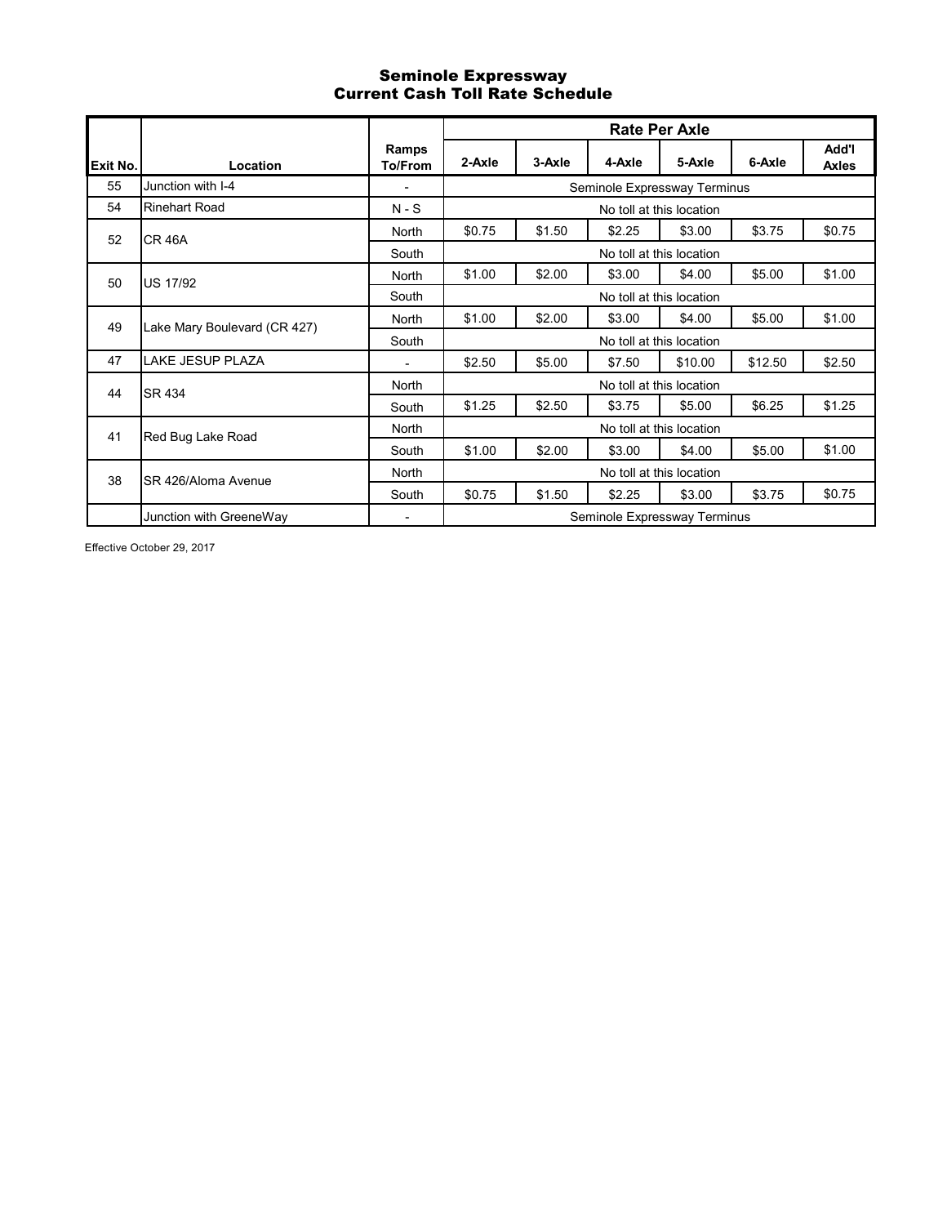# Seminole Expressway Current Cash Toll Rate Schedule

|          |                              |                         |        |        |                              | <b>Rate Per Axle</b>     |         |                       |
|----------|------------------------------|-------------------------|--------|--------|------------------------------|--------------------------|---------|-----------------------|
| Exit No. | Location                     | Ramps<br><b>To/From</b> | 2-Axle | 3-Axle | 4-Axle                       | 5-Axle                   | 6-Axle  | Add'l<br><b>Axles</b> |
| 55       | Junction with I-4            | ٠                       |        |        | Seminole Expressway Terminus |                          |         |                       |
| 54       | <b>Rinehart Road</b>         | $N-S$                   |        |        |                              | No toll at this location |         |                       |
| 52       | <b>CR 46A</b>                | North                   | \$0.75 | \$1.50 | \$2.25                       | \$3.00                   | \$3.75  | \$0.75                |
|          |                              | South                   |        |        |                              | No toll at this location |         |                       |
| 50       | <b>US 17/92</b>              | North                   | \$1.00 | \$2.00 | \$3.00                       | \$4.00                   | \$5.00  | \$1.00                |
|          |                              | South                   |        |        |                              | No toll at this location |         |                       |
| 49       | Lake Mary Boulevard (CR 427) | <b>North</b>            | \$1.00 | \$2.00 | \$3.00                       | \$4.00                   | \$5.00  | \$1.00                |
|          |                              | South                   |        |        |                              | No toll at this location |         |                       |
| 47       | LAKE JESUP PLAZA             | ٠                       | \$2.50 | \$5.00 | \$7.50                       | \$10.00                  | \$12.50 | \$2.50                |
| 44       | <b>SR 434</b>                | North                   |        |        |                              | No toll at this location |         |                       |
|          |                              | South                   | \$1.25 | \$2.50 | \$3.75                       | \$5.00                   | \$6.25  | \$1.25                |
| 41       | Red Bug Lake Road            | North                   |        |        |                              | No toll at this location |         |                       |
|          |                              | South                   | \$1.00 | \$2.00 | \$3.00                       | \$4.00                   | \$5.00  | \$1.00                |
| 38       | SR 426/Aloma Avenue          | North                   |        |        |                              | No toll at this location |         |                       |
|          |                              | South                   | \$0.75 | \$1.50 | \$2.25                       | \$3.00                   | \$3.75  | \$0.75                |
|          | Junction with GreeneWay      | ٠                       |        |        | Seminole Expressway Terminus |                          |         |                       |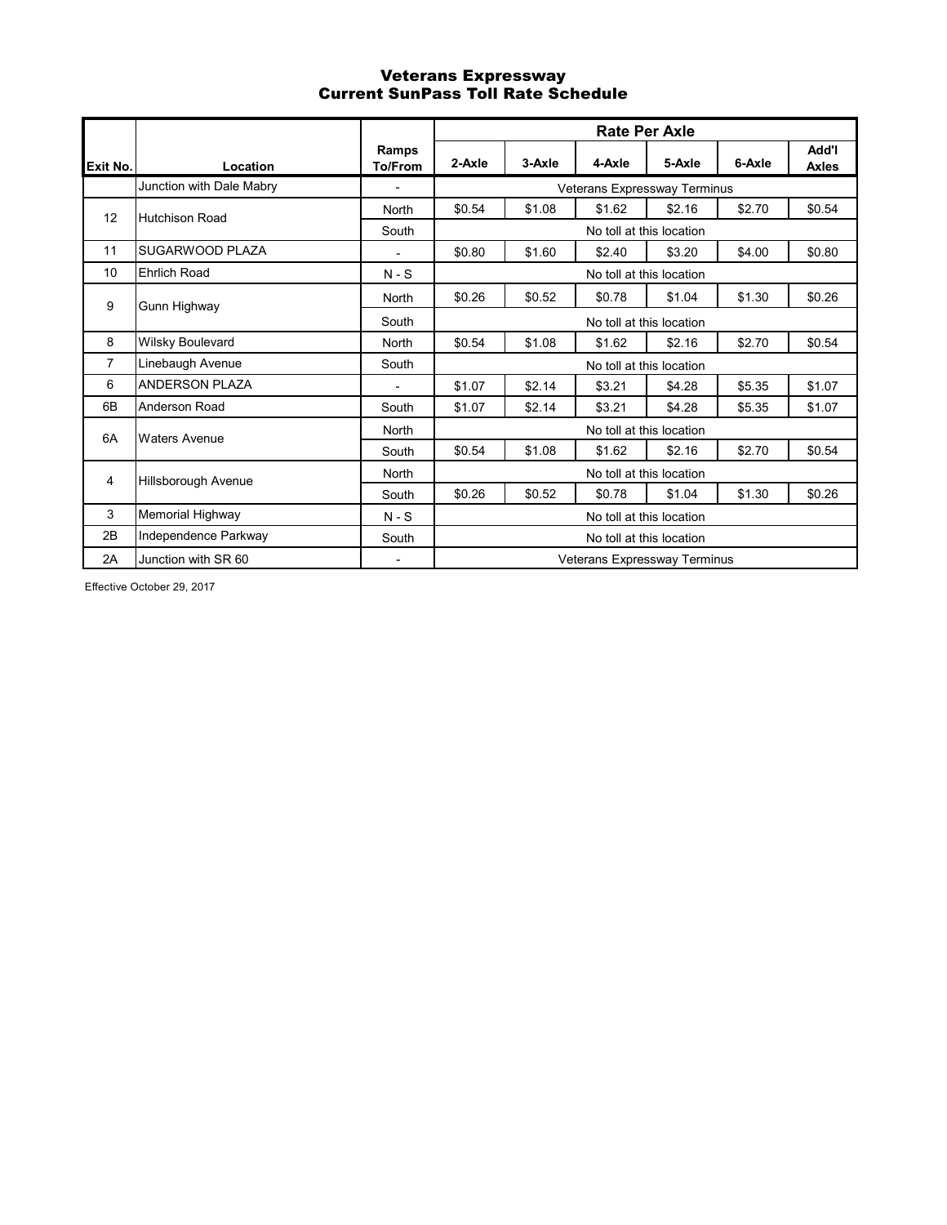### Veterans Expressway Current SunPass Toll Rate Schedule

|                |                          |                          |        |        | <b>Rate Per Axle</b>         |        |        |                       |
|----------------|--------------------------|--------------------------|--------|--------|------------------------------|--------|--------|-----------------------|
| Exit No.       | Location                 | Ramps<br>To/From         | 2-Axle | 3-Axle | 4-Axle                       | 5-Axle | 6-Axle | Add'l<br><b>Axles</b> |
|                | Junction with Dale Mabry | $\overline{\phantom{a}}$ |        |        | Veterans Expressway Terminus |        |        |                       |
| 12             | <b>Hutchison Road</b>    | <b>North</b>             | \$0.54 | \$1.08 | \$1.62                       | \$2.16 | \$2.70 | \$0.54                |
|                |                          | South                    |        |        | No toll at this location     |        |        |                       |
| 11             | SUGARWOOD PLAZA          | $\overline{a}$           | \$0.80 | \$1.60 | \$2.40                       | \$3.20 | \$4.00 | \$0.80                |
| 10             | <b>Ehrlich Road</b>      | $N-S$                    |        |        | No toll at this location     |        |        |                       |
| 9              | Gunn Highway             | North                    | \$0.26 | \$0.52 | \$0.78                       | \$1.04 | \$1.30 | \$0.26                |
|                |                          | South                    |        |        | No toll at this location     |        |        |                       |
| 8              | Wilsky Boulevard         | North                    | \$0.54 | \$1.08 | \$1.62                       | \$2.16 | \$2.70 | \$0.54                |
| $\overline{7}$ | Linebaugh Avenue         | South                    |        |        | No toll at this location     |        |        |                       |
| 6              | <b>ANDERSON PLAZA</b>    | -                        | \$1.07 | \$2.14 | \$3.21                       | \$4.28 | \$5.35 | \$1.07                |
| 6B             | Anderson Road            | South                    | \$1.07 | \$2.14 | \$3.21                       | \$4.28 | \$5.35 | \$1.07                |
| 6A             | <b>Waters Avenue</b>     | North                    |        |        | No toll at this location     |        |        |                       |
|                |                          | South                    | \$0.54 | \$1.08 | \$1.62                       | \$2.16 | \$2.70 | \$0.54                |
| 4              | Hillsborough Avenue      | <b>North</b>             |        |        | No toll at this location     |        |        |                       |
|                |                          | South                    | \$0.26 | \$0.52 | \$0.78                       | \$1.04 | \$1.30 | \$0.26                |
| 3              | Memorial Highway         | $N-S$                    |        |        | No toll at this location     |        |        |                       |
| 2B             | Independence Parkway     | South                    |        |        | No toll at this location     |        |        |                       |
| 2A             | Junction with SR 60      | $\overline{\phantom{a}}$ |        |        | Veterans Expressway Terminus |        |        |                       |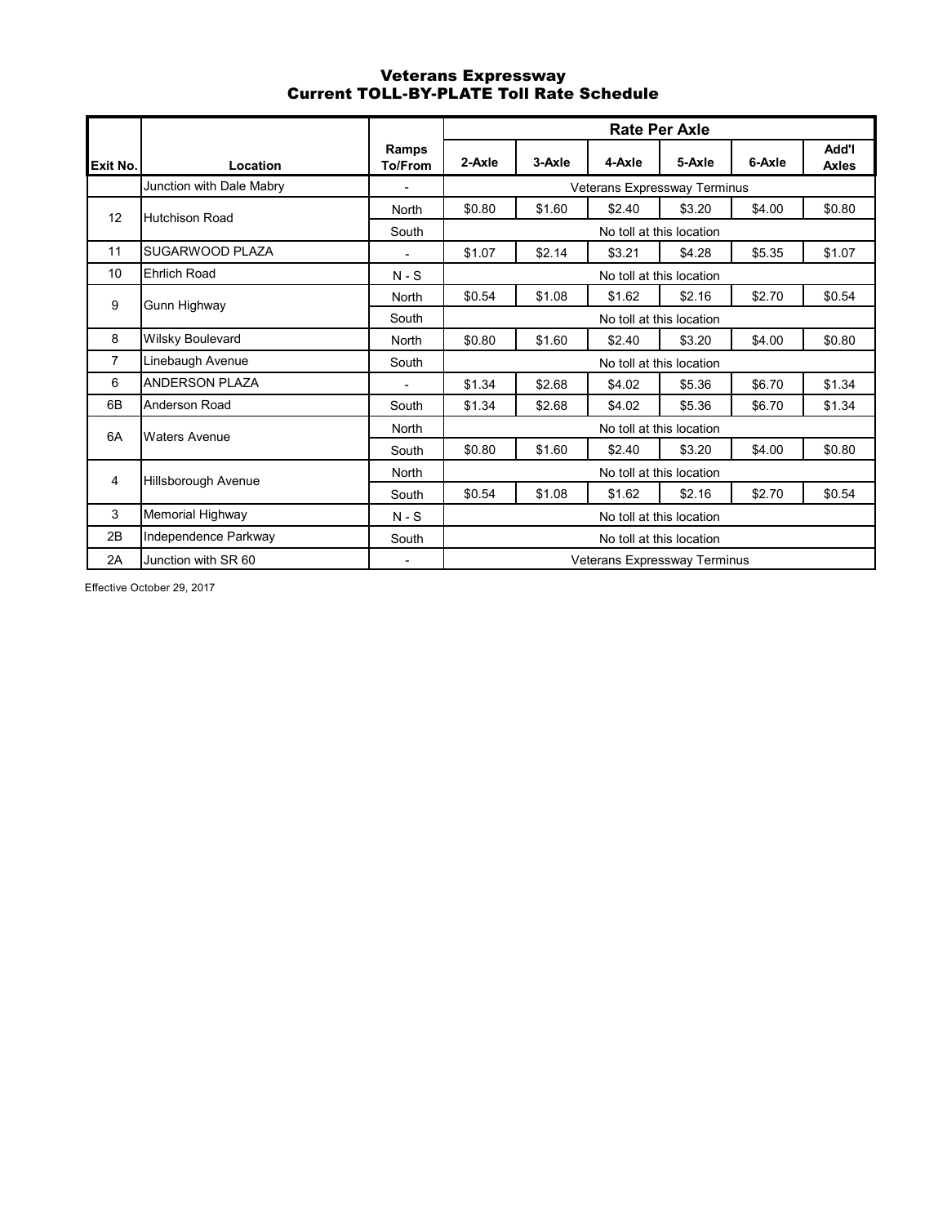### Veterans Expressway Current TOLL-BY-PLATE Toll Rate Schedule

|                |                          |                          |        |        |                              | Rate Per Axle            |        |                       |
|----------------|--------------------------|--------------------------|--------|--------|------------------------------|--------------------------|--------|-----------------------|
| Exit No.       | Location                 | Ramps<br><b>To/From</b>  | 2-Axle | 3-Axle | 4-Axle                       | 5-Axle                   | 6-Axle | Add'l<br><b>Axles</b> |
|                | Junction with Dale Mabry |                          |        |        | Veterans Expressway Terminus |                          |        |                       |
| 12             | <b>Hutchison Road</b>    | <b>North</b>             | \$0.80 | \$1.60 | \$2.40                       | \$3.20                   | \$4.00 | \$0.80                |
|                |                          | South                    |        |        |                              | No toll at this location |        |                       |
| 11             | SUGARWOOD PLAZA          |                          | \$1.07 | \$2.14 | \$3.21                       | \$4.28                   | \$5.35 | \$1.07                |
| 10             | <b>Ehrlich Road</b>      | $N-S$                    |        |        |                              | No toll at this location |        |                       |
| 9              | Gunn Highway             | North                    | \$0.54 | \$1.08 | \$1.62                       | \$2.16                   | \$2.70 | \$0.54                |
|                |                          | South                    |        |        |                              | No toll at this location |        |                       |
| 8              | Wilsky Boulevard         | North                    | \$0.80 | \$1.60 | \$2.40                       | \$3.20                   | \$4.00 | \$0.80                |
| $\overline{7}$ | Linebaugh Avenue         | South                    |        |        |                              | No toll at this location |        |                       |
| 6              | <b>ANDERSON PLAZA</b>    | $\overline{\phantom{a}}$ | \$1.34 | \$2.68 | \$4.02                       | \$5.36                   | \$6.70 | \$1.34                |
| 6B             | Anderson Road            | South                    | \$1.34 | \$2.68 | \$4.02                       | \$5.36                   | \$6.70 | \$1.34                |
| 6A             | <b>Waters Avenue</b>     | <b>North</b>             |        |        |                              | No toll at this location |        |                       |
|                |                          | South                    | \$0.80 | \$1.60 | \$2.40                       | \$3.20                   | \$4.00 | \$0.80                |
| 4              | Hillsborough Avenue      | North                    |        |        |                              | No toll at this location |        |                       |
|                |                          | South                    | \$0.54 | \$1.08 | \$1.62                       | \$2.16                   | \$2.70 | \$0.54                |
| 3              | Memorial Highway         | $N-S$                    |        |        |                              | No toll at this location |        |                       |
| 2B             | Independence Parkway     | South                    |        |        |                              | No toll at this location |        |                       |
| 2A             | Junction with SR 60      | ٠                        |        |        | Veterans Expressway Terminus |                          |        |                       |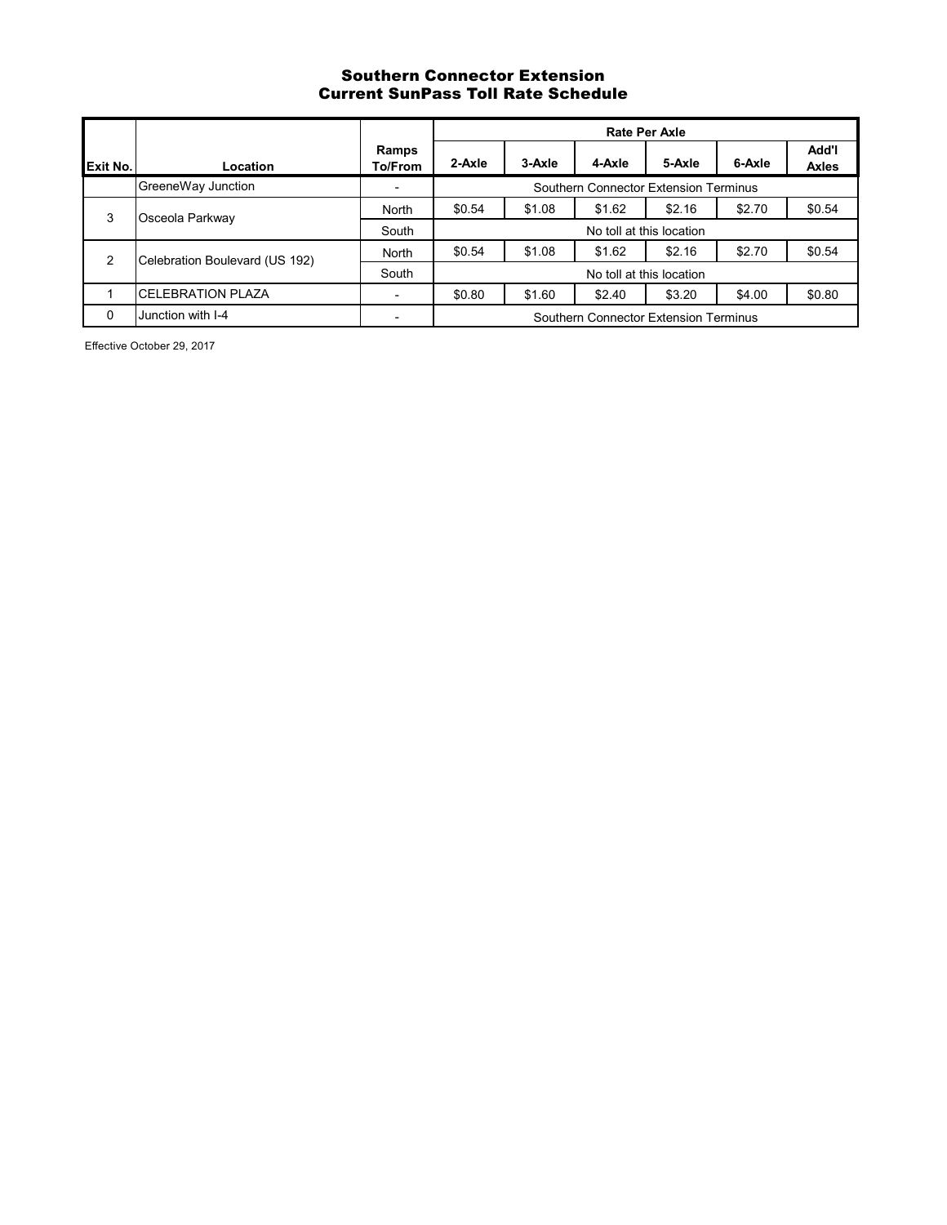### Southern Connector Extension Current SunPass Toll Rate Schedule

|          |                                |                          |        |        |                                       | <b>Rate Per Axle</b>     |        |                |
|----------|--------------------------------|--------------------------|--------|--------|---------------------------------------|--------------------------|--------|----------------|
| Exit No. | Location                       | Ramps<br>To/From         | 2-Axle | 3-Axle | 4-Axle                                | 5-Axle                   | 6-Axle | Add'l<br>Axles |
|          | GreeneWay Junction             | $\overline{\phantom{a}}$ |        |        | Southern Connector Extension Terminus |                          |        |                |
| 3        | Osceola Parkway                | North                    | \$0.54 | \$1.08 | \$1.62                                | \$2.16                   | \$2.70 | \$0.54         |
|          |                                | South                    |        |        |                                       | No toll at this location |        |                |
| 2        | Celebration Boulevard (US 192) | North                    | \$0.54 | \$1.08 | \$1.62                                | \$2.16                   | \$2.70 | \$0.54         |
|          |                                | South                    |        |        |                                       | No toll at this location |        |                |
|          | <b>CELEBRATION PLAZA</b>       | ٠                        | \$0.80 | \$1.60 | \$2.40                                | \$3.20                   | \$4.00 | \$0.80         |
| $\Omega$ | Junction with I-4              |                          |        |        | Southern Connector Extension Terminus |                          |        |                |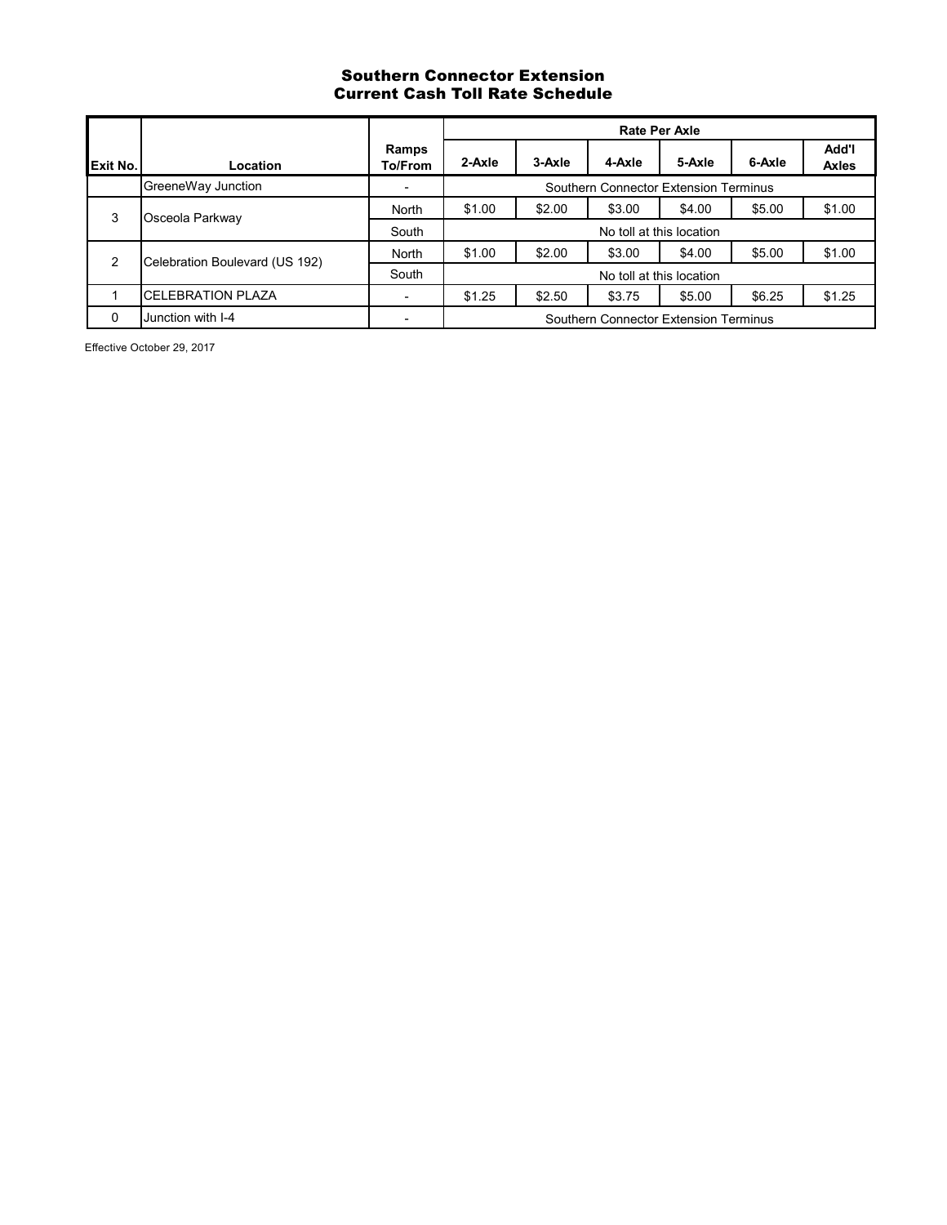# Southern Connector Extension Current Cash Toll Rate Schedule

|                 |                                |                          |        |        | <b>Rate Per Axle</b>                  |        |        |                       |
|-----------------|--------------------------------|--------------------------|--------|--------|---------------------------------------|--------|--------|-----------------------|
| <b>Exit No.</b> | Location                       | Ramps<br>To/From         | 2-Axle | 3-Axle | 4-Axle                                | 5-Axle | 6-Axle | Add'l<br><b>Axles</b> |
|                 | GreeneWay Junction             | ٠                        |        |        | Southern Connector Extension Terminus |        |        |                       |
| 3               | Osceola Parkway                | North                    | \$1.00 | \$2.00 | \$3.00                                | \$4.00 | \$5.00 | \$1.00                |
|                 |                                | South                    |        |        | No toll at this location              |        |        |                       |
| 2               | Celebration Boulevard (US 192) | North                    | \$1.00 | \$2.00 | \$3.00                                | \$4.00 | \$5.00 | \$1.00                |
|                 |                                | South                    |        |        | No toll at this location              |        |        |                       |
|                 | <b>CELEBRATION PLAZA</b>       | $\overline{\phantom{a}}$ | \$1.25 | \$2.50 | \$3.75                                | \$5.00 | \$6.25 | \$1.25                |
| $\Omega$        | Junction with I-4              | $\overline{\phantom{0}}$ |        |        | Southern Connector Extension Terminus |        |        |                       |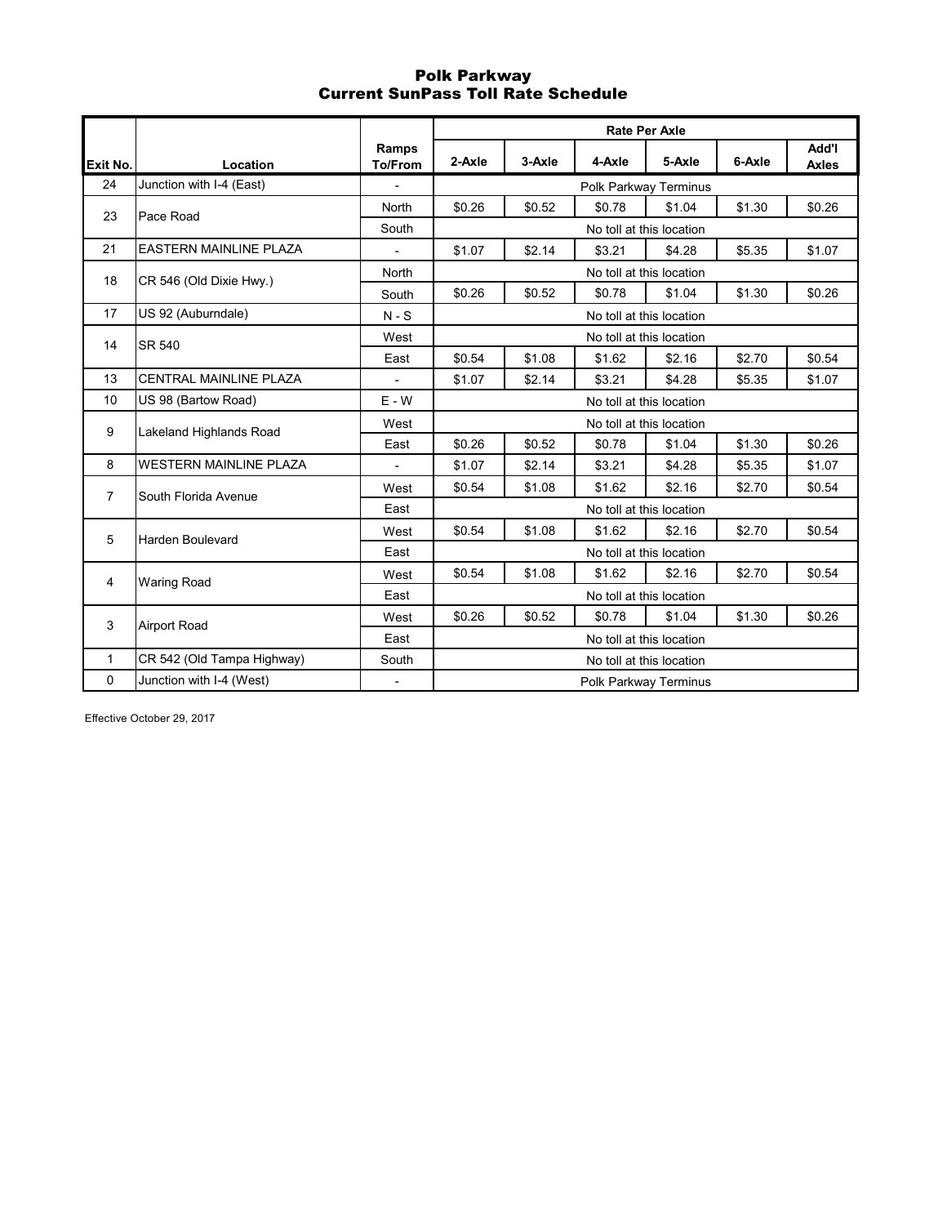# Polk Parkway Current SunPass Toll Rate Schedule

|                |                               |                          |        |        |        | <b>Rate Per Axle</b>     |        |                              |
|----------------|-------------------------------|--------------------------|--------|--------|--------|--------------------------|--------|------------------------------|
| Exit No.       | Location                      | Ramps<br><b>To/From</b>  | 2-Axle | 3-Axle | 4-Axle | 5-Axle                   | 6-Axle | <b>Add'l</b><br><b>Axles</b> |
| 24             | Junction with I-4 (East)      |                          |        |        |        | Polk Parkway Terminus    |        |                              |
| 23             | Pace Road                     | North                    | \$0.26 | \$0.52 | \$0.78 | \$1.04                   | \$1.30 | \$0.26                       |
|                |                               | South                    |        |        |        | No toll at this location |        |                              |
| 21             | <b>EASTERN MAINLINE PLAZA</b> |                          | \$1.07 | \$2.14 | \$3.21 | \$4.28                   | \$5.35 | \$1.07                       |
| 18             | CR 546 (Old Dixie Hwy.)       | North                    |        |        |        | No toll at this location |        |                              |
|                |                               | South                    | \$0.26 | \$0.52 | \$0.78 | \$1.04                   | \$1.30 | \$0.26                       |
| 17             | US 92 (Auburndale)            | $N-S$                    |        |        |        | No toll at this location |        |                              |
| 14             | <b>SR 540</b>                 | West                     |        |        |        | No toll at this location |        |                              |
|                |                               | East                     | \$0.54 | \$1.08 | \$1.62 | \$2.16                   | \$2.70 | \$0.54                       |
| 13             | CENTRAL MAINLINE PLAZA        | $\mathbf{r}$             | \$1.07 | \$2.14 | \$3.21 | \$4.28                   | \$5.35 | \$1.07                       |
| 10             | US 98 (Bartow Road)           | $E - W$                  |        |        |        | No toll at this location |        |                              |
| 9              | Lakeland Highlands Road       | West                     |        |        |        | No toll at this location |        |                              |
|                |                               | East                     | \$0.26 | \$0.52 | \$0.78 | \$1.04                   | \$1.30 | \$0.26                       |
| 8              | <b>WESTERN MAINLINE PLAZA</b> | $\blacksquare$           | \$1.07 | \$2.14 | \$3.21 | \$4.28                   | \$5.35 | \$1.07                       |
| $\overline{7}$ | South Florida Avenue          | West                     | \$0.54 | \$1.08 | \$1.62 | \$2.16                   | \$2.70 | \$0.54                       |
|                |                               | East                     |        |        |        | No toll at this location |        |                              |
| 5              | <b>Harden Boulevard</b>       | West                     | \$0.54 | \$1.08 | \$1.62 | \$2.16                   | \$2.70 | \$0.54                       |
|                |                               | East                     |        |        |        | No toll at this location |        |                              |
| 4              | <b>Waring Road</b>            | West                     | \$0.54 | \$1.08 | \$1.62 | \$2.16                   | \$2.70 | \$0.54                       |
|                |                               | East                     |        |        |        | No toll at this location |        |                              |
| 3              | <b>Airport Road</b>           | West                     | \$0.26 | \$0.52 | \$0.78 | \$1.04                   | \$1.30 | \$0.26                       |
|                |                               | East                     |        |        |        | No toll at this location |        |                              |
| $\mathbf{1}$   | CR 542 (Old Tampa Highway)    | South                    |        |        |        | No toll at this location |        |                              |
| $\mathbf 0$    | Junction with I-4 (West)      | $\overline{\phantom{a}}$ |        |        |        | Polk Parkway Terminus    |        |                              |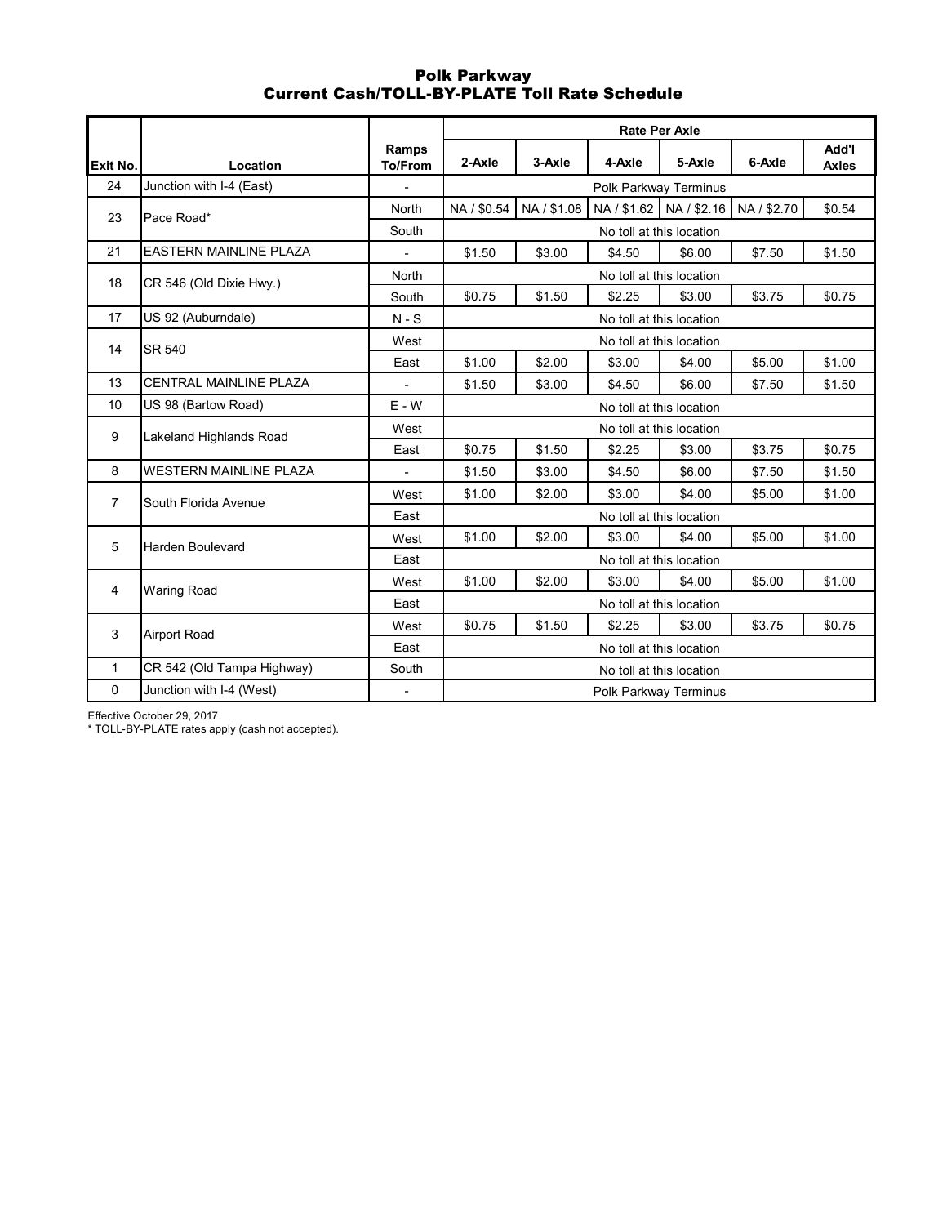## Polk Parkway Current Cash/TOLL-BY-PLATE Toll Rate Schedule

|                |                               |                          |             |             |                          | <b>Rate Per Axle</b>     |             |                       |
|----------------|-------------------------------|--------------------------|-------------|-------------|--------------------------|--------------------------|-------------|-----------------------|
| Exit No.       | Location                      | Ramps<br>To/From         | 2-Axle      | 3-Axle      | 4-Axle                   | 5-Axle                   | 6-Axle      | Add'l<br><b>Axles</b> |
| 24             | Junction with I-4 (East)      |                          |             |             |                          | Polk Parkway Terminus    |             |                       |
| 23             | Pace Road*                    | North                    | NA / \$0.54 | NA / \$1.08 |                          | NA / \$1.62 NA / \$2.16  | NA / \$2.70 | \$0.54                |
|                |                               | South                    |             |             |                          | No toll at this location |             |                       |
| 21             | <b>EASTERN MAINLINE PLAZA</b> |                          | \$1.50      | \$3.00      | \$4.50                   | \$6.00                   | \$7.50      | \$1.50                |
| 18             | CR 546 (Old Dixie Hwy.)       | <b>North</b>             |             |             | No toll at this location |                          |             |                       |
|                |                               | South                    | \$0.75      | \$1.50      | \$2.25                   | \$3.00                   | \$3.75      | \$0.75                |
| 17             | US 92 (Auburndale)            | $N-S$                    |             |             | No toll at this location |                          |             |                       |
| 14             | SR 540                        | West                     |             |             | No toll at this location |                          |             |                       |
|                |                               | East                     | \$1.00      | \$2.00      | \$3.00                   | \$4.00                   | \$5.00      | \$1.00                |
| 13             | CENTRAL MAINLINE PLAZA        | ÷,                       | \$1.50      | \$3.00      | \$4.50                   | \$6.00                   | \$7.50      | \$1.50                |
| 10             | US 98 (Bartow Road)           | $E - W$                  |             |             | No toll at this location |                          |             |                       |
| 9              | Lakeland Highlands Road       | West                     |             |             | No toll at this location |                          |             |                       |
|                |                               | East                     | \$0.75      | \$1.50      | \$2.25                   | \$3.00                   | \$3.75      | \$0.75                |
| 8              | <b>WESTERN MAINLINE PLAZA</b> | ÷,                       | \$1.50      | \$3.00      | \$4.50                   | \$6.00                   | \$7.50      | \$1.50                |
| $\overline{7}$ | South Florida Avenue          | West                     | \$1.00      | \$2.00      | \$3.00                   | \$4.00                   | \$5.00      | \$1.00                |
|                |                               | East                     |             |             | No toll at this location |                          |             |                       |
| 5              | <b>Harden Boulevard</b>       | West                     | \$1.00      | \$2.00      | \$3.00                   | \$4.00                   | \$5.00      | \$1.00                |
|                |                               | East                     |             |             | No toll at this location |                          |             |                       |
| $\overline{4}$ | <b>Waring Road</b>            | West                     | \$1.00      | \$2.00      | \$3.00                   | \$4.00                   | \$5.00      | \$1.00                |
|                |                               | East                     |             |             | No toll at this location |                          |             |                       |
| 3              | <b>Airport Road</b>           | West                     | \$0.75      | \$1.50      | \$2.25                   | \$3.00                   | \$3.75      | \$0.75                |
|                |                               | East                     |             |             | No toll at this location |                          |             |                       |
| $\mathbf{1}$   | CR 542 (Old Tampa Highway)    | South                    |             |             | No toll at this location |                          |             |                       |
| 0              | Junction with I-4 (West)      | $\overline{\phantom{a}}$ |             |             | Polk Parkway Terminus    |                          |             |                       |

Effective October 29, 2017

\* TOLL-BY-PLATE rates apply (cash not accepted).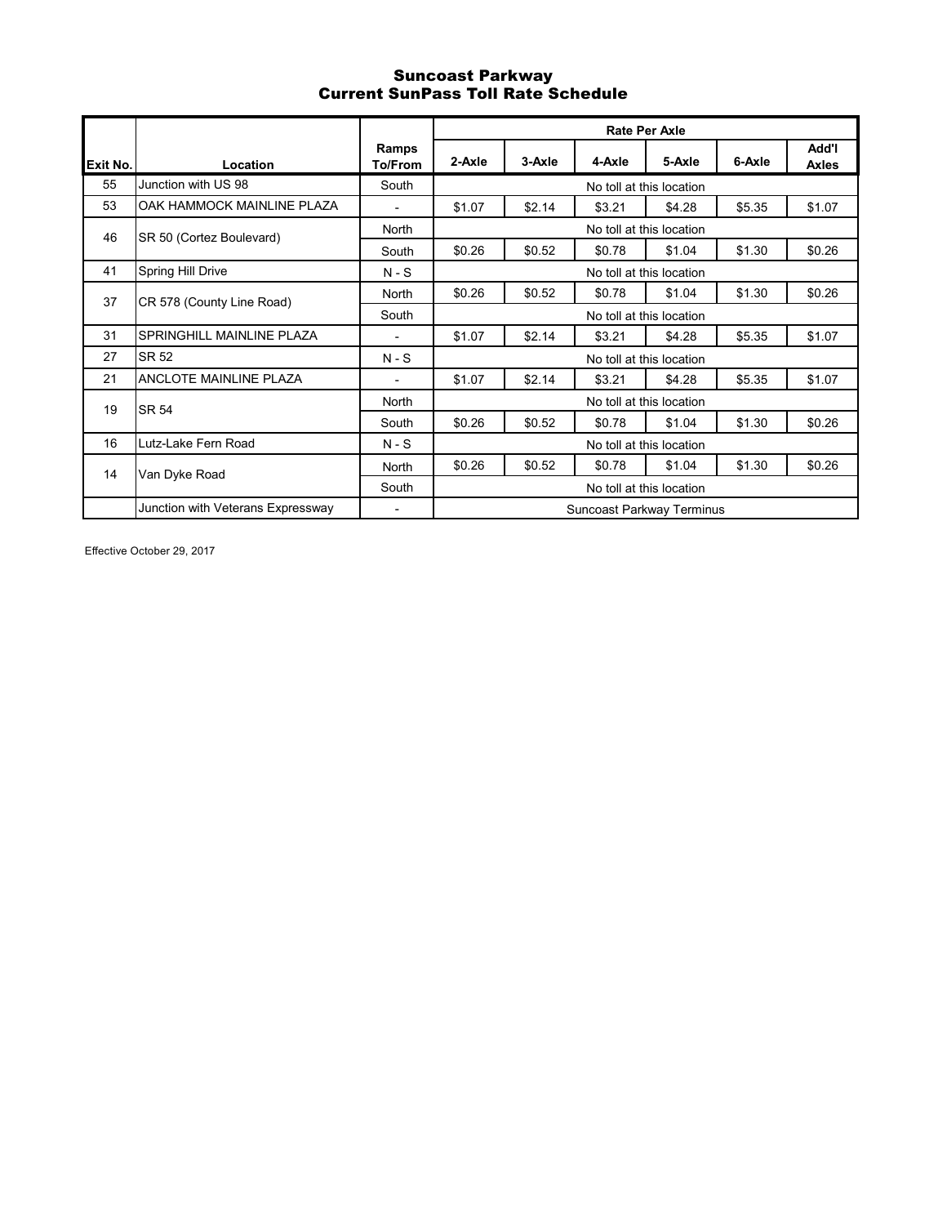## Suncoast Parkway Current SunPass Toll Rate Schedule

|          |                                   |                  | <b>Rate Per Axle</b>      |        |        |                          |        |                       |  |  |
|----------|-----------------------------------|------------------|---------------------------|--------|--------|--------------------------|--------|-----------------------|--|--|
| Exit No. | Location                          | Ramps<br>To/From | 2-Axle                    | 3-Axle | 4-Axle | 5-Axle                   | 6-Axle | Add'l<br><b>Axles</b> |  |  |
| 55       | Junction with US 98               | South            | No toll at this location  |        |        |                          |        |                       |  |  |
| 53       | OAK HAMMOCK MAINLINE PLAZA        |                  | \$1.07                    | \$2.14 | \$3.21 | \$4.28                   | \$5.35 | \$1.07                |  |  |
| 46       |                                   | North            | No toll at this location  |        |        |                          |        |                       |  |  |
|          | SR 50 (Cortez Boulevard)          | South            | \$0.26                    | \$0.52 | \$0.78 | \$1.04                   | \$1.30 | \$0.26                |  |  |
| 41       | Spring Hill Drive                 | $N-S$            | No toll at this location  |        |        |                          |        |                       |  |  |
| 37       | CR 578 (County Line Road)         | North            | \$0.26                    | \$0.52 | \$0.78 | \$1.04                   | \$1.30 | \$0.26                |  |  |
|          |                                   | South            | No toll at this location  |        |        |                          |        |                       |  |  |
| 31       | SPRINGHILL MAINLINE PLAZA         | $\overline{a}$   | \$1.07                    | \$2.14 | \$3.21 | \$4.28                   | \$5.35 | \$1.07                |  |  |
| 27       | SR 52                             | $N-S$            |                           |        |        | No toll at this location |        |                       |  |  |
| 21       | <b>ANCLOTE MAINLINE PLAZA</b>     | ۰                | \$1.07                    | \$2.14 | \$3.21 | \$4.28                   | \$5.35 | \$1.07                |  |  |
| 19       | <b>SR 54</b>                      | North            | No toll at this location  |        |        |                          |        |                       |  |  |
|          |                                   | South            | \$0.26                    | \$0.52 | \$0.78 | \$1.04                   | \$1.30 | \$0.26                |  |  |
| 16       | Lutz-Lake Fern Road               | $N-S$            | No toll at this location  |        |        |                          |        |                       |  |  |
| 14       | Van Dyke Road                     | North            | \$0.26                    | \$0.52 | \$0.78 | \$1.04                   | \$1.30 | \$0.26                |  |  |
|          |                                   | South            | No toll at this location  |        |        |                          |        |                       |  |  |
|          | Junction with Veterans Expressway |                  | Suncoast Parkway Terminus |        |        |                          |        |                       |  |  |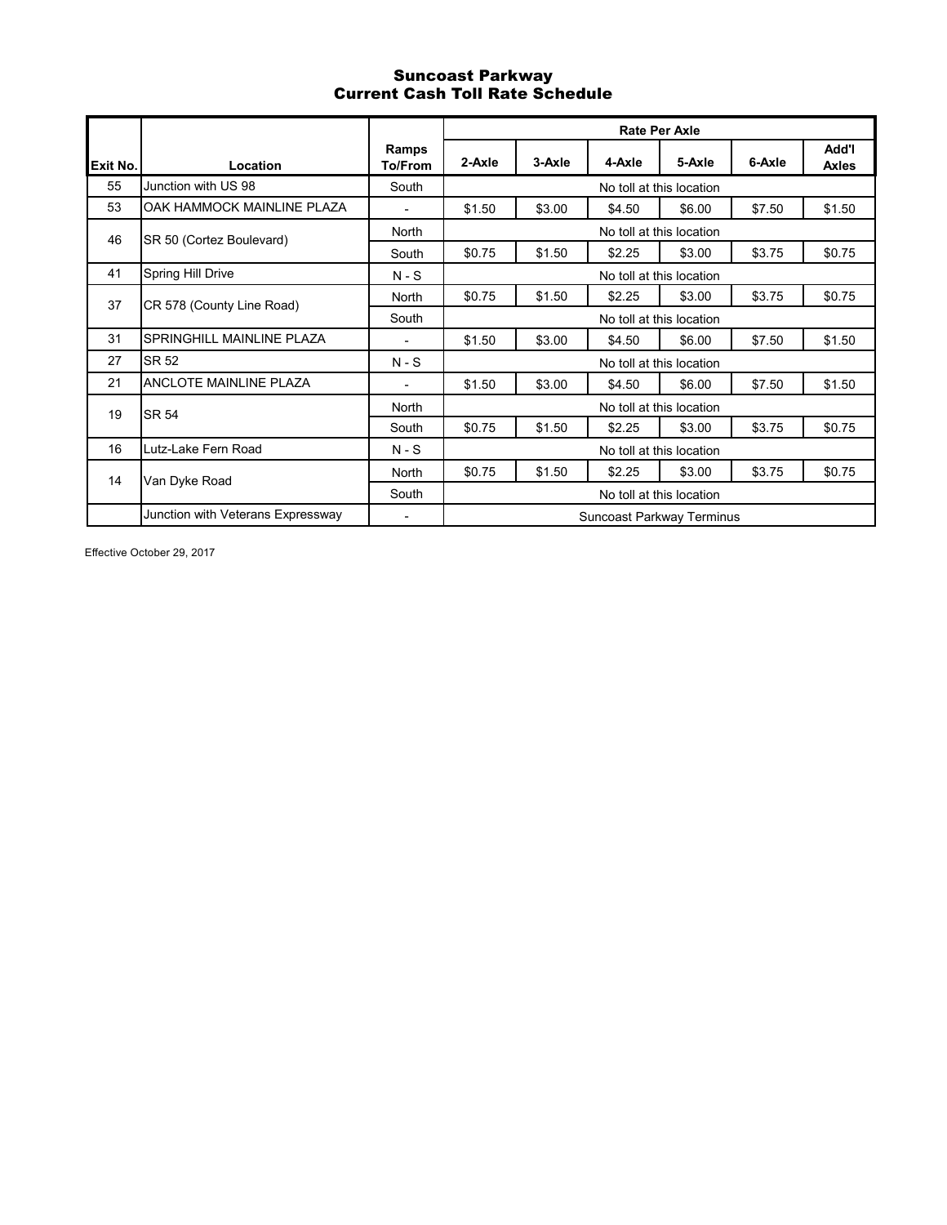# Suncoast Parkway Current Cash Toll Rate Schedule

|          |                                   |                         | <b>Rate Per Axle</b>             |        |        |                          |        |                       |  |  |
|----------|-----------------------------------|-------------------------|----------------------------------|--------|--------|--------------------------|--------|-----------------------|--|--|
| Exit No. | Location                          | Ramps<br><b>To/From</b> | 2-Axle                           | 3-Axle | 4-Axle | 5-Axle                   | 6-Axle | Add'l<br><b>Axles</b> |  |  |
| 55       | Junction with US 98               | South                   | No toll at this location         |        |        |                          |        |                       |  |  |
| 53       | OAK HAMMOCK MAINLINE PLAZA        |                         | \$1.50                           | \$3.00 | \$4.50 | \$6.00                   | \$7.50 | \$1.50                |  |  |
| 46       | SR 50 (Cortez Boulevard)          | North                   | No toll at this location         |        |        |                          |        |                       |  |  |
|          |                                   | South                   | \$0.75                           | \$1.50 | \$2.25 | \$3.00                   | \$3.75 | \$0.75                |  |  |
| 41       | Spring Hill Drive                 | $N-S$                   | No toll at this location         |        |        |                          |        |                       |  |  |
| 37       | CR 578 (County Line Road)         | North                   | \$0.75                           | \$1.50 | \$2.25 | \$3.00                   | \$3.75 | \$0.75                |  |  |
|          |                                   | South                   | No toll at this location         |        |        |                          |        |                       |  |  |
| 31       | <b>SPRINGHILL MAINLINE PLAZA</b>  | $\blacksquare$          | \$1.50                           | \$3.00 | \$4.50 | \$6.00                   | \$7.50 | \$1.50                |  |  |
| 27       | <b>SR 52</b>                      | $N-S$                   |                                  |        |        | No toll at this location |        |                       |  |  |
| 21       | ANCLOTE MAINLINE PLAZA            | ٠                       | \$1.50                           | \$3.00 | \$4.50 | \$6.00                   | \$7.50 | \$1.50                |  |  |
| 19       | <b>SR 54</b>                      | North                   | No toll at this location         |        |        |                          |        |                       |  |  |
|          |                                   | South                   | \$0.75                           | \$1.50 | \$2.25 | \$3.00                   | \$3.75 | \$0.75                |  |  |
| 16       | Lutz-Lake Fern Road               | $N-S$                   | No toll at this location         |        |        |                          |        |                       |  |  |
| 14       | Van Dyke Road                     | North                   | \$0.75                           | \$1.50 | \$2.25 | \$3.00                   | \$3.75 | \$0.75                |  |  |
|          |                                   | South                   | No toll at this location         |        |        |                          |        |                       |  |  |
|          | Junction with Veterans Expressway | ٠                       | <b>Suncoast Parkway Terminus</b> |        |        |                          |        |                       |  |  |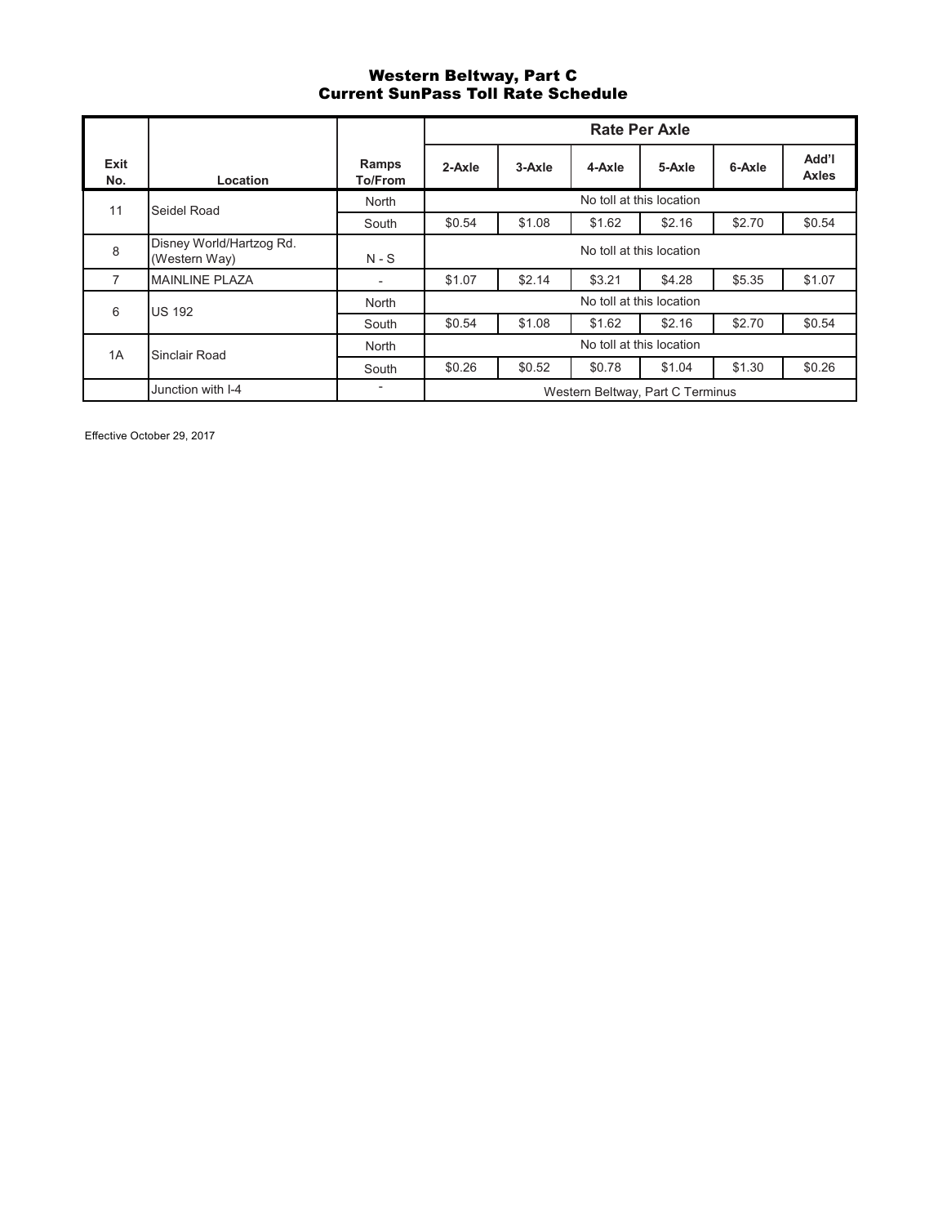## Western Beltway, Part C Current SunPass Toll Rate Schedule

|             |                                           |                  | <b>Rate Per Axle</b>             |        |        |        |        |                       |  |  |
|-------------|-------------------------------------------|------------------|----------------------------------|--------|--------|--------|--------|-----------------------|--|--|
| Exit<br>No. | Location                                  | Ramps<br>To/From | 2-Axle                           | 3-Axle | 4-Axle | 5-Axle | 6-Axle | Add'l<br><b>Axles</b> |  |  |
| 11          | Seidel Road                               | North            | No toll at this location         |        |        |        |        |                       |  |  |
|             |                                           | South            | \$0.54                           | \$1.08 | \$1.62 | \$2.16 | \$2.70 | \$0.54                |  |  |
| 8           | Disney World/Hartzog Rd.<br>(Western Way) | $N-S$            | No toll at this location         |        |        |        |        |                       |  |  |
| 7           | <b>MAINLINE PLAZA</b>                     | ٠                | \$1.07                           | \$2.14 | \$3.21 | \$4.28 | \$5.35 | \$1.07                |  |  |
| 6           | <b>US 192</b>                             | North            | No toll at this location         |        |        |        |        |                       |  |  |
|             |                                           | South            | \$0.54                           | \$1.08 | \$1.62 | \$2.16 | \$2.70 | \$0.54                |  |  |
| 1A          | Sinclair Road                             | North            | No toll at this location         |        |        |        |        |                       |  |  |
|             |                                           | South            | \$0.26                           | \$0.52 | \$0.78 | \$1.04 | \$1.30 | \$0.26                |  |  |
|             | Junction with I-4                         |                  | Western Beltway, Part C Terminus |        |        |        |        |                       |  |  |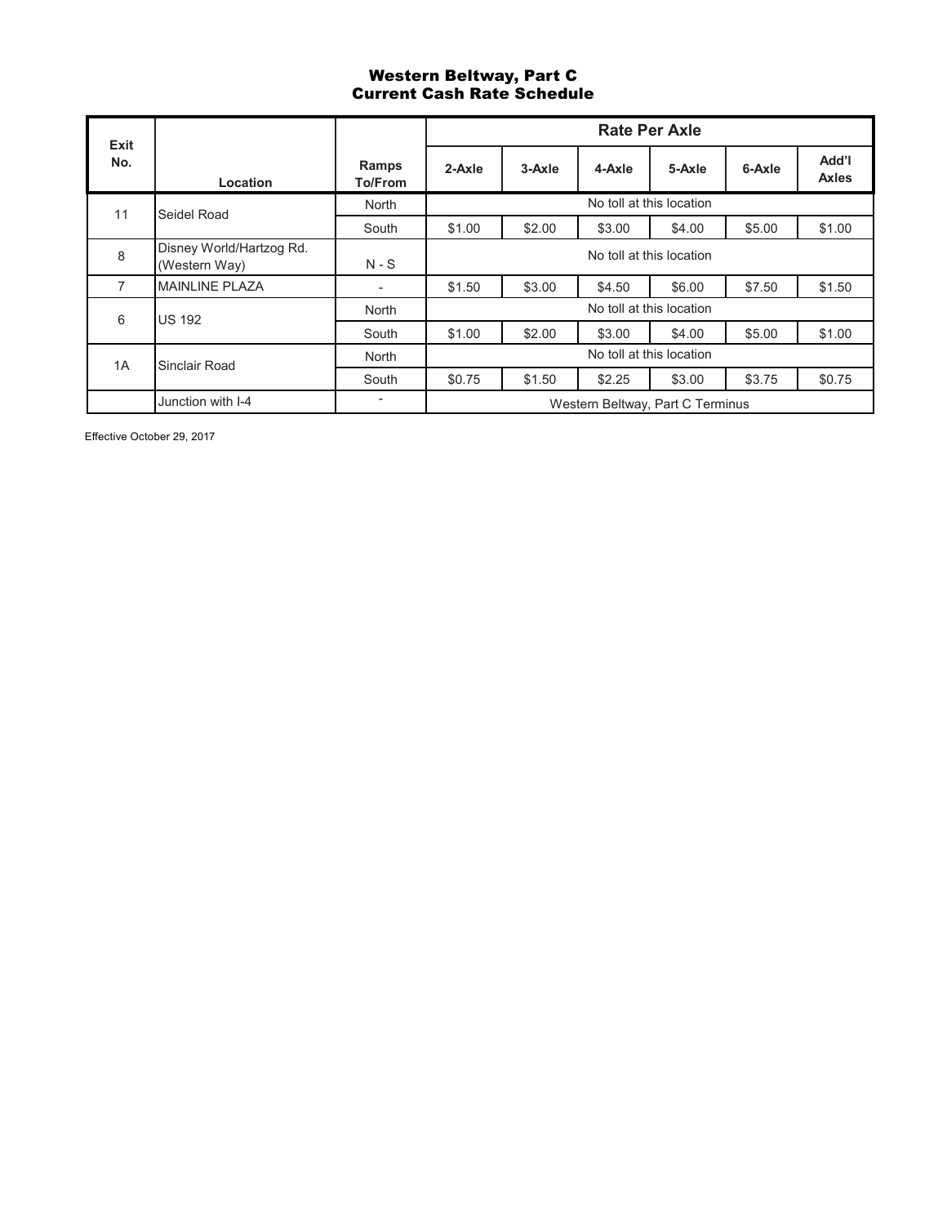# Western Beltway, Part C Current Cash Rate Schedule

| Exit |                                           |                         |                                  | <b>Rate Per Axle</b> |        |        |        |                       |  |  |  |
|------|-------------------------------------------|-------------------------|----------------------------------|----------------------|--------|--------|--------|-----------------------|--|--|--|
| No.  | Location                                  | Ramps<br><b>To/From</b> | 2-Axle                           | 3-Axle               | 4-Axle | 5-Axle | 6-Axle | Add'l<br><b>Axles</b> |  |  |  |
| 11   | Seidel Road                               | North                   | No toll at this location         |                      |        |        |        |                       |  |  |  |
|      |                                           | South                   | \$1.00                           | \$2.00               | \$3.00 | \$4.00 | \$5.00 | \$1.00                |  |  |  |
| 8    | Disney World/Hartzog Rd.<br>(Western Way) | $N-S$                   | No toll at this location         |                      |        |        |        |                       |  |  |  |
| 7    | <b>MAINLINE PLAZA</b>                     | ٠                       | \$1.50                           | \$3.00               | \$4.50 | \$6.00 | \$7.50 | \$1.50                |  |  |  |
| 6    | <b>US 192</b>                             | North                   | No toll at this location         |                      |        |        |        |                       |  |  |  |
|      |                                           | South                   | \$1.00                           | \$2.00               | \$3.00 | \$4.00 | \$5.00 | \$1.00                |  |  |  |
| 1A   | Sinclair Road                             | North                   | No toll at this location         |                      |        |        |        |                       |  |  |  |
|      |                                           | South                   | \$0.75                           | \$1.50               | \$2.25 | \$3.00 | \$3.75 | \$0.75                |  |  |  |
|      | Junction with I-4                         |                         | Western Beltway, Part C Terminus |                      |        |        |        |                       |  |  |  |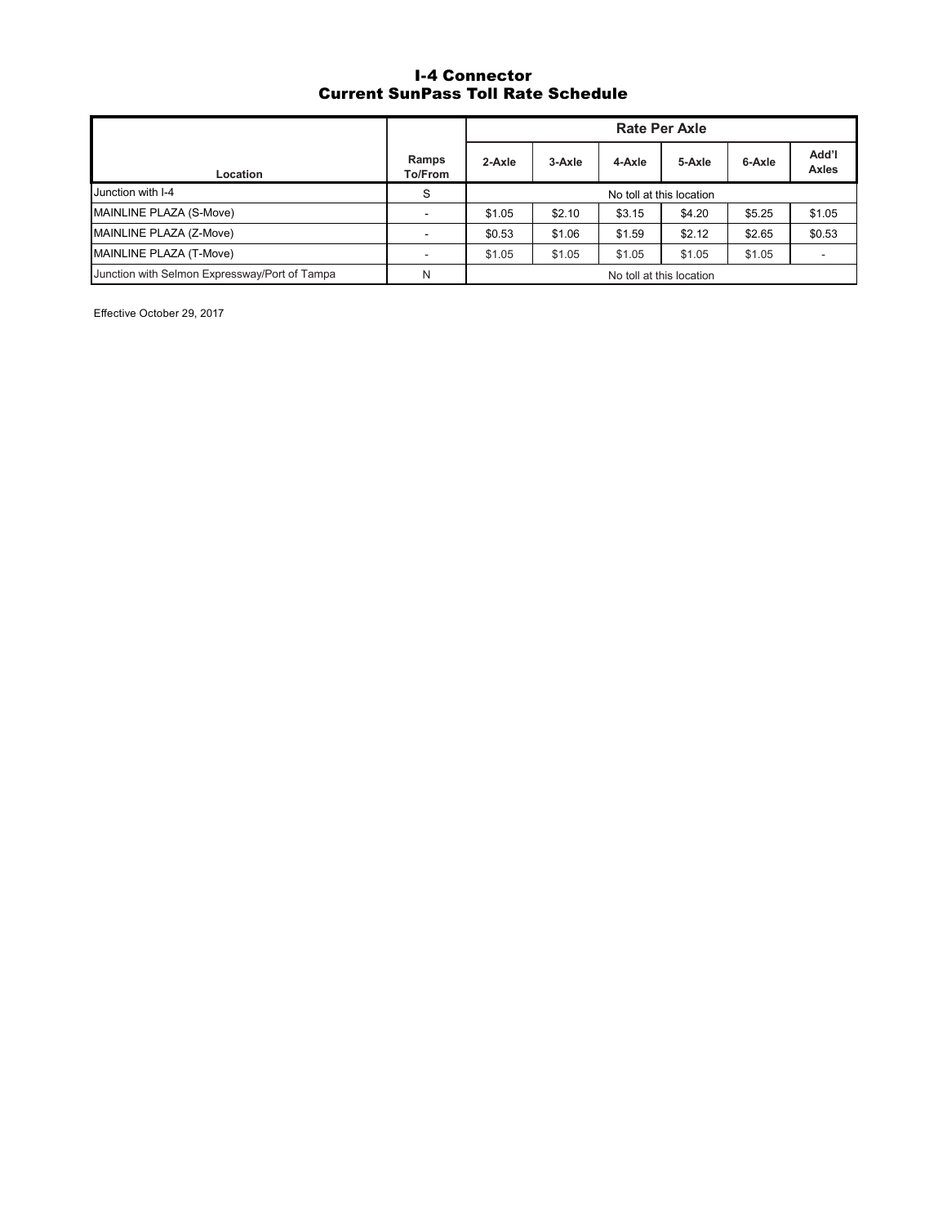# I-4 Connector Current SunPass Toll Rate Schedule

|                                               |                  | <b>Rate Per Axle</b>     |        |        |        |        |                       |
|-----------------------------------------------|------------------|--------------------------|--------|--------|--------|--------|-----------------------|
| Location                                      | Ramps<br>To/From | 2-Axle                   | 3-Axle | 4-Axle | 5-Axle | 6-Axle | Add'l<br><b>Axles</b> |
| Junction with I-4                             | S                | No toll at this location |        |        |        |        |                       |
| MAINLINE PLAZA (S-Move)                       |                  | \$1.05                   | \$2.10 | \$3.15 | \$4.20 | \$5.25 | \$1.05                |
| MAINLINE PLAZA (Z-Move)                       |                  | \$0.53                   | \$1.06 | \$1.59 | \$2.12 | \$2.65 | \$0.53                |
| MAINLINE PLAZA (T-Move)                       |                  | \$1.05                   | \$1.05 | \$1.05 | \$1.05 | \$1.05 |                       |
| Junction with Selmon Expressway/Port of Tampa | N                | No toll at this location |        |        |        |        |                       |